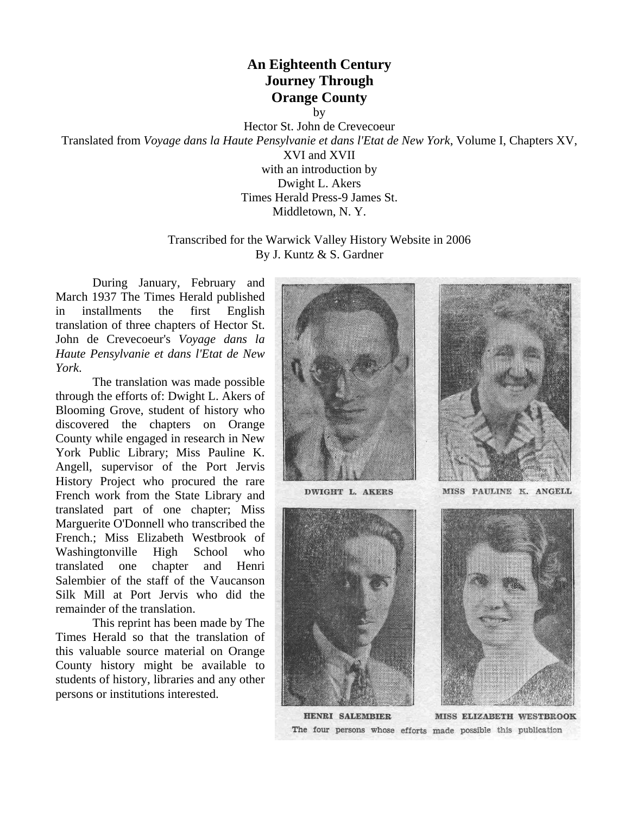# **An Eighteenth Century Journey Through Orange County**

by

Hector St. John de Crevecoeur

Translated from *Voyage dans la Haute Pensylvanie et dans l'Etat de New York*, Volume I, Chapters XV,

XVI and XVII with an introduction by Dwight L. Akers Times Herald Press-9 James St. Middletown, N. Y.

Transcribed for the Warwick Valley History Website in 2006 By J. Kuntz & S. Gardner

 During January, February and March 1937 The Times Herald published in installments the first English translation of three chapters of Hector St. John de Crevecoeur's *Voyage dans la Haute Pensylvanie et dans l'Etat de New York*.

 The translation was made possible through the efforts of: Dwight L. Akers of Blooming Grove, student of history who discovered the chapters on Orange County while engaged in research in New York Public Library; Miss Pauline K. Angell, supervisor of the Port Jervis History Project who procured the rare French work from the State Library and translated part of one chapter; Miss Marguerite O'Donnell who transcribed the French.; Miss Elizabeth Westbrook of Washingtonville High School who translated one chapter and Henri Salembier of the staff of the Vaucanson Silk Mill at Port Jervis who did the remainder of the translation.

 This reprint has been made by The Times Herald so that the translation of this valuable source material on Orange County history might be available to students of history, libraries and any other persons or institutions interested.



HENRI SALEMBIER MISS ELIZABETH WESTBROOK The four persons whose efforts made possible this publication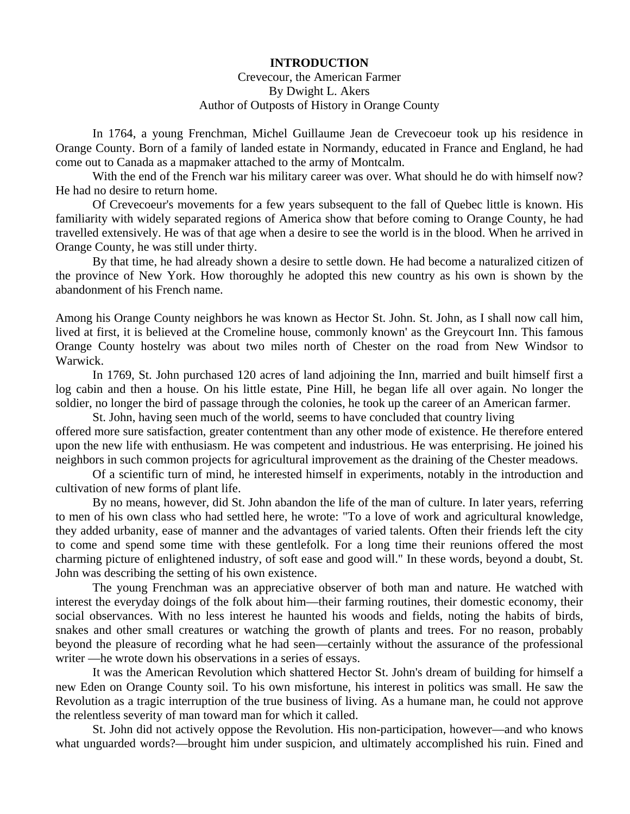#### **INTRODUCTION**

### Crevecour, the American Farmer By Dwight L. Akers Author of Outposts of History in Orange County

 In 1764, a young Frenchman, Michel Guillaume Jean de Crevecoeur took up his residence in Orange County. Born of a family of landed estate in Normandy, educated in France and England, he had come out to Canada as a mapmaker attached to the army of Montcalm.

 With the end of the French war his military career was over. What should he do with himself now? He had no desire to return home.

 Of Crevecoeur's movements for a few years subsequent to the fall of Quebec little is known. His familiarity with widely separated regions of America show that before coming to Orange County, he had travelled extensively. He was of that age when a desire to see the world is in the blood. When he arrived in Orange County, he was still under thirty.

 By that time, he had already shown a desire to settle down. He had become a naturalized citizen of the province of New York. How thoroughly he adopted this new country as his own is shown by the abandonment of his French name.

Among his Orange County neighbors he was known as Hector St. John. St. John, as I shall now call him, lived at first, it is believed at the Cromeline house, commonly known' as the Greycourt Inn. This famous Orange County hostelry was about two miles north of Chester on the road from New Windsor to Warwick.

 In 1769, St. John purchased 120 acres of land adjoining the Inn, married and built himself first a log cabin and then a house. On his little estate, Pine Hill, he began life all over again. No longer the soldier, no longer the bird of passage through the colonies, he took up the career of an American farmer.

 St. John, having seen much of the world, seems to have concluded that country living offered more sure satisfaction, greater contentment than any other mode of existence. He therefore entered upon the new life with enthusiasm. He was competent and industrious. He was enterprising. He joined his neighbors in such common projects for agricultural improvement as the draining of the Chester meadows.

 Of a scientific turn of mind, he interested himself in experiments, notably in the introduction and cultivation of new forms of plant life.

 By no means, however, did St. John abandon the life of the man of culture. In later years, referring to men of his own class who had settled here, he wrote: "To a love of work and agricultural knowledge, they added urbanity, ease of manner and the advantages of varied talents. Often their friends left the city to come and spend some time with these gentlefolk. For a long time their reunions offered the most charming picture of enlightened industry, of soft ease and good will." In these words, beyond a doubt, St. John was describing the setting of his own existence.

 The young Frenchman was an appreciative observer of both man and nature. He watched with interest the everyday doings of the folk about him—their farming routines, their domestic economy, their social observances. With no less interest he haunted his woods and fields, noting the habits of birds, snakes and other small creatures or watching the growth of plants and trees. For no reason, probably beyond the pleasure of recording what he had seen—certainly without the assurance of the professional writer —he wrote down his observations in a series of essays.

 It was the American Revolution which shattered Hector St. John's dream of building for himself a new Eden on Orange County soil. To his own misfortune, his interest in politics was small. He saw the Revolution as a tragic interruption of the true business of living. As a humane man, he could not approve the relentless severity of man toward man for which it called.

 St. John did not actively oppose the Revolution. His non-participation, however—and who knows what unguarded words?—brought him under suspicion, and ultimately accomplished his ruin. Fined and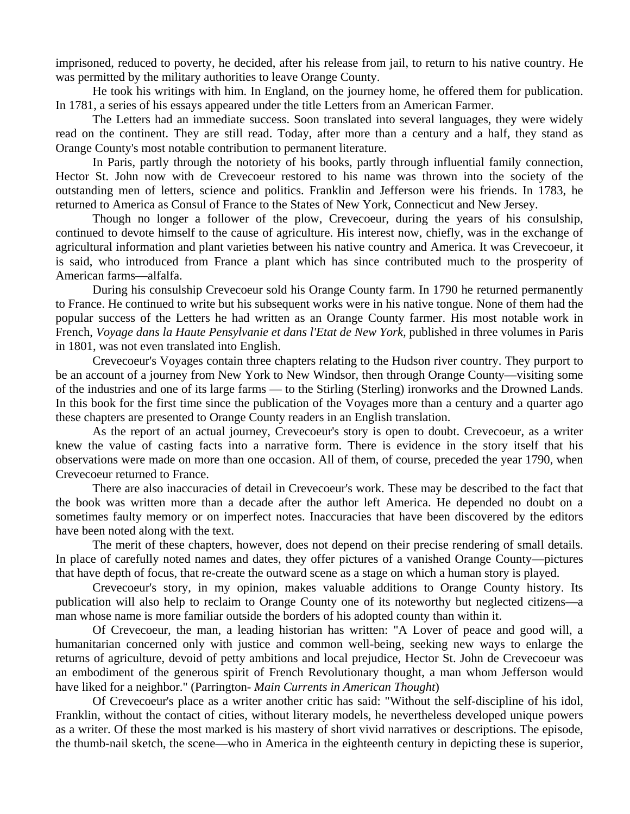imprisoned, reduced to poverty, he decided, after his release from jail, to return to his native country. He was permitted by the military authorities to leave Orange County.

 He took his writings with him. In England, on the journey home, he offered them for publication. In 1781, a series of his essays appeared under the title Letters from an American Farmer.

 The Letters had an immediate success. Soon translated into several languages, they were widely read on the continent. They are still read. Today, after more than a century and a half, they stand as Orange County's most notable contribution to permanent literature.

 In Paris, partly through the notoriety of his books, partly through influential family connection, Hector St. John now with de Crevecoeur restored to his name was thrown into the society of the outstanding men of letters, science and politics. Franklin and Jefferson were his friends. In 1783, he returned to America as Consul of France to the States of New York, Connecticut and New Jersey.

 Though no longer a follower of the plow, Crevecoeur, during the years of his consulship, continued to devote himself to the cause of agriculture. His interest now, chiefly, was in the exchange of agricultural information and plant varieties between his native country and America. It was Crevecoeur, it is said, who introduced from France a plant which has since contributed much to the prosperity of American farms—alfalfa.

 During his consulship Crevecoeur sold his Orange County farm. In 1790 he returned permanently to France. He continued to write but his subsequent works were in his native tongue. None of them had the popular success of the Letters he had written as an Orange County farmer. His most notable work in French, *Voyage dans la Haute Pensylvanie et dans l'Etat de New York,* published in three volumes in Paris in 1801, was not even translated into English.

 Crevecoeur's Voyages contain three chapters relating to the Hudson river country. They purport to be an account of a journey from New York to New Windsor, then through Orange County—visiting some of the industries and one of its large farms — to the Stirling (Sterling) ironworks and the Drowned Lands. In this book for the first time since the publication of the Voyages more than a century and a quarter ago these chapters are presented to Orange County readers in an English translation.

 As the report of an actual journey, Crevecoeur's story is open to doubt. Crevecoeur, as a writer knew the value of casting facts into a narrative form. There is evidence in the story itself that his observations were made on more than one occasion. All of them, of course, preceded the year 1790, when Crevecoeur returned to France.

 There are also inaccuracies of detail in Crevecoeur's work. These may be described to the fact that the book was written more than a decade after the author left America. He depended no doubt on a sometimes faulty memory or on imperfect notes. Inaccuracies that have been discovered by the editors have been noted along with the text.

 The merit of these chapters, however, does not depend on their precise rendering of small details. In place of carefully noted names and dates, they offer pictures of a vanished Orange County—pictures that have depth of focus, that re-create the outward scene as a stage on which a human story is played.

 Crevecoeur's story, in my opinion, makes valuable additions to Orange County history. Its publication will also help to reclaim to Orange County one of its noteworthy but neglected citizens—a man whose name is more familiar outside the borders of his adopted county than within it.

 Of Crevecoeur, the man, a leading historian has written: "A Lover of peace and good will, a humanitarian concerned only with justice and common well-being, seeking new ways to enlarge the returns of agriculture, devoid of petty ambitions and local prejudice, Hector St. John de Crevecoeur was an embodiment of the generous spirit of French Revolutionary thought, a man whom Jefferson would have liked for a neighbor." (Parrington- *Main Currents in American Thought*)

 Of Crevecoeur's place as a writer another critic has said: "Without the self-discipline of his idol, Franklin, without the contact of cities, without literary models, he nevertheless developed unique powers as a writer. Of these the most marked is his mastery of short vivid narratives or descriptions. The episode, the thumb-nail sketch, the scene—who in America in the eighteenth century in depicting these is superior,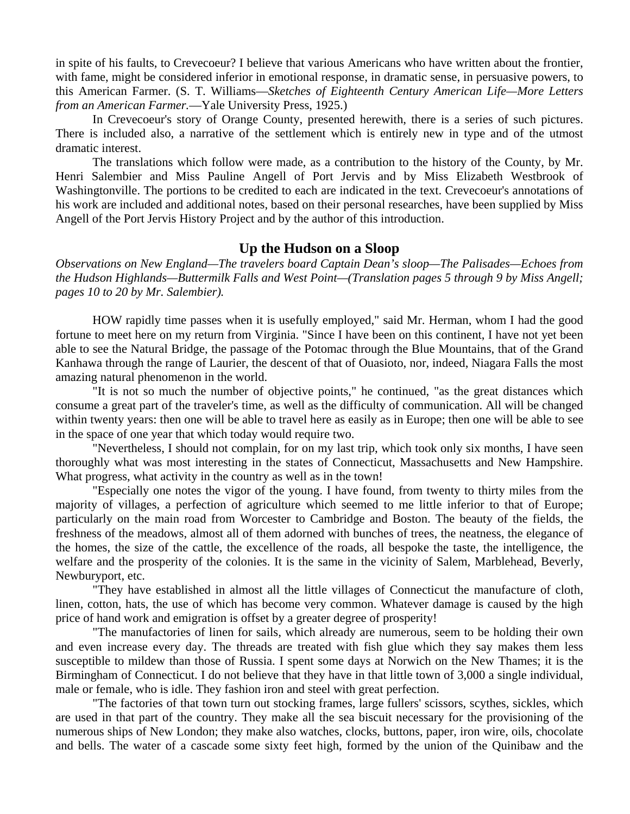in spite of his faults, to Crevecoeur? I believe that various Americans who have written about the frontier, with fame, might be considered inferior in emotional response, in dramatic sense, in persuasive powers, to this American Farmer. (S. T. Williams—*Sketches of Eighteenth Century American Life—More Letters from an American Farmer.*—Yale University Press, 1925.)

 In Crevecoeur's story of Orange County, presented herewith, there is a series of such pictures. There is included also, a narrative of the settlement which is entirely new in type and of the utmost dramatic interest.

 The translations which follow were made, as a contribution to the history of the County, by Mr. Henri Salembier and Miss Pauline Angell of Port Jervis and by Miss Elizabeth Westbrook of Washingtonville. The portions to be credited to each are indicated in the text. Crevecoeur's annotations of his work are included and additional notes, based on their personal researches, have been supplied by Miss Angell of the Port Jervis History Project and by the author of this introduction.

#### **Up the Hudson on a Sloop**

*Observations on New England—The travelers board Captain Dean's sloop—The Palisades—Echoes from the Hudson Highlands—Buttermilk Falls and West Point—(Translation pages 5 through 9 by Miss Angell; pages 10 to 20 by Mr. Salembier).* 

 HOW rapidly time passes when it is usefully employed," said Mr. Herman, whom I had the good fortune to meet here on my return from Virginia. "Since I have been on this continent, I have not yet been able to see the Natural Bridge, the passage of the Potomac through the Blue Mountains, that of the Grand Kanhawa through the range of Laurier, the descent of that of Ouasioto, nor, indeed, Niagara Falls the most amazing natural phenomenon in the world.

 "It is not so much the number of objective points," he continued, "as the great distances which consume a great part of the traveler's time, as well as the difficulty of communication. All will be changed within twenty years: then one will be able to travel here as easily as in Europe; then one will be able to see in the space of one year that which today would require two.

 "Nevertheless, I should not complain, for on my last trip, which took only six months, I have seen thoroughly what was most interesting in the states of Connecticut, Massachusetts and New Hampshire. What progress, what activity in the country as well as in the town!

 "Especially one notes the vigor of the young. I have found, from twenty to thirty miles from the majority of villages, a perfection of agriculture which seemed to me little inferior to that of Europe; particularly on the main road from Worcester to Cambridge and Boston. The beauty of the fields, the freshness of the meadows, almost all of them adorned with bunches of trees, the neatness, the elegance of the homes, the size of the cattle, the excellence of the roads, all bespoke the taste, the intelligence, the welfare and the prosperity of the colonies. It is the same in the vicinity of Salem, Marblehead, Beverly, Newburyport, etc.

 "They have established in almost all the little villages of Connecticut the manufacture of cloth, linen, cotton, hats, the use of which has become very common. Whatever damage is caused by the high price of hand work and emigration is offset by a greater degree of prosperity!

 "The manufactories of linen for sails, which already are numerous, seem to be holding their own and even increase every day. The threads are treated with fish glue which they say makes them less susceptible to mildew than those of Russia. I spent some days at Norwich on the New Thames; it is the Birmingham of Connecticut. I do not believe that they have in that little town of 3,000 a single individual, male or female, who is idle. They fashion iron and steel with great perfection.

 "The factories of that town turn out stocking frames, large fullers' scissors, scythes, sickles, which are used in that part of the country. They make all the sea biscuit necessary for the provisioning of the numerous ships of New London; they make also watches, clocks, buttons, paper, iron wire, oils, chocolate and bells. The water of a cascade some sixty feet high, formed by the union of the Quinibaw and the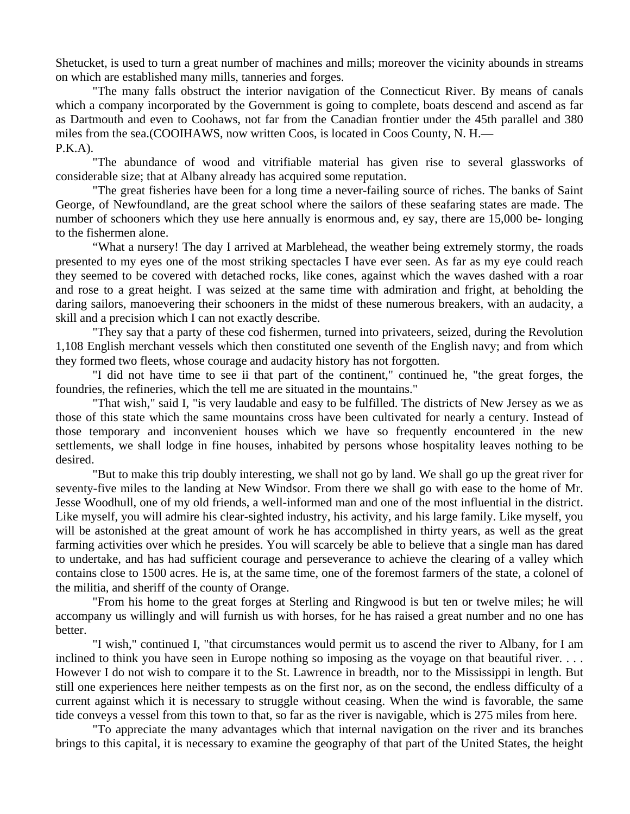Shetucket, is used to turn a great number of machines and mills; moreover the vicinity abounds in streams on which are established many mills, tanneries and forges.

 "The many falls obstruct the interior navigation of the Connecticut River. By means of canals which a company incorporated by the Government is going to complete, boats descend and ascend as far as Dartmouth and even to Coohaws, not far from the Canadian frontier under the 45th parallel and 380 miles from the sea.(COOIHAWS, now written Coos, is located in Coos County, N. H.—  $P.K.A$ ).

 "The abundance of wood and vitrifiable material has given rise to several glassworks of considerable size; that at Albany already has acquired some reputation.

 "The great fisheries have been for a long time a never-failing source of riches. The banks of Saint George, of Newfoundland, are the great school where the sailors of these seafaring states are made. The number of schooners which they use here annually is enormous and, ey say, there are 15,000 be- longing to the fishermen alone.

 "What a nursery! The day I arrived at Marblehead, the weather being extremely stormy, the roads presented to my eyes one of the most striking spectacles I have ever seen. As far as my eye could reach they seemed to be covered with detached rocks, like cones, against which the waves dashed with a roar and rose to a great height. I was seized at the same time with admiration and fright, at beholding the daring sailors, manoevering their schooners in the midst of these numerous breakers, with an audacity, a skill and a precision which I can not exactly describe.

 "They say that a party of these cod fishermen, turned into privateers, seized, during the Revolution 1,108 English merchant vessels which then constituted one seventh of the English navy; and from which they formed two fleets, whose courage and audacity history has not forgotten.

 "I did not have time to see ii that part of the continent," continued he, "the great forges, the foundries, the refineries, which the tell me are situated in the mountains."

 "That wish," said I, "is very laudable and easy to be fulfilled. The districts of New Jersey as we as those of this state which the same mountains cross have been cultivated for nearly a century. Instead of those temporary and inconvenient houses which we have so frequently encountered in the new settlements, we shall lodge in fine houses, inhabited by persons whose hospitality leaves nothing to be desired.

 "But to make this trip doubly interesting, we shall not go by land. We shall go up the great river for seventy-five miles to the landing at New Windsor. From there we shall go with ease to the home of Mr. Jesse Woodhull, one of my old friends, a well-informed man and one of the most influential in the district. Like myself, you will admire his clear-sighted industry, his activity, and his large family. Like myself, you will be astonished at the great amount of work he has accomplished in thirty years, as well as the great farming activities over which he presides. You will scarcely be able to believe that a single man has dared to undertake, and has had sufficient courage and perseverance to achieve the clearing of a valley which contains close to 1500 acres. He is, at the same time, one of the foremost farmers of the state, a colonel of the militia, and sheriff of the county of Orange.

 "From his home to the great forges at Sterling and Ringwood is but ten or twelve miles; he will accompany us willingly and will furnish us with horses, for he has raised a great number and no one has better.

 "I wish," continued I, "that circumstances would permit us to ascend the river to Albany, for I am inclined to think you have seen in Europe nothing so imposing as the voyage on that beautiful river. . . . However I do not wish to compare it to the St. Lawrence in breadth, nor to the Mississippi in length. But still one experiences here neither tempests as on the first nor, as on the second, the endless difficulty of a current against which it is necessary to struggle without ceasing. When the wind is favorable, the same tide conveys a vessel from this town to that, so far as the river is navigable, which is 275 miles from here.

 "To appreciate the many advantages which that internal navigation on the river and its branches brings to this capital, it is necessary to examine the geography of that part of the United States, the height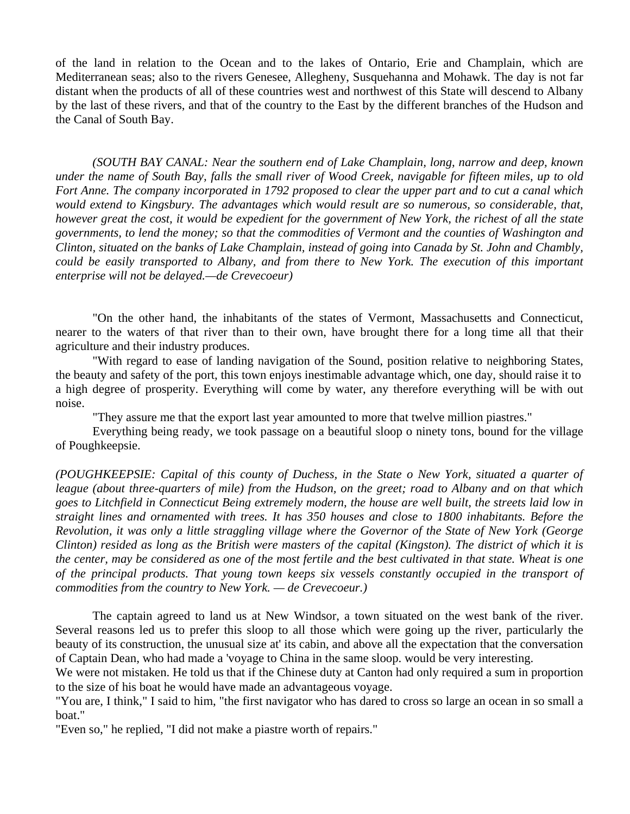of the land in relation to the Ocean and to the lakes of Ontario, Erie and Champlain, which are Mediterranean seas; also to the rivers Genesee, Allegheny, Susquehanna and Mohawk. The day is not far distant when the products of all of these countries west and northwest of this State will descend to Albany by the last of these rivers, and that of the country to the East by the different branches of the Hudson and the Canal of South Bay.

 *(SOUTH BAY CANAL: Near the southern end of Lake Champlain, long, narrow and deep, known under the name of South Bay, falls the small river of Wood Creek, navigable for fifteen miles, up to old Fort Anne. The company incorporated in 1792 proposed to clear the upper part and to cut a canal which would extend to Kingsbury. The advantages which would result are so numerous, so considerable, that, however great the cost, it would be expedient for the government of New York, the richest of all the state governments, to lend the money; so that the commodities of Vermont and the counties of Washington and Clinton, situated on the banks of Lake Champlain, instead of going into Canada by St. John and Chambly, could be easily transported to Albany, and from there to New York. The execution of this important enterprise will not be delayed.—de Crevecoeur)* 

 "On the other hand, the inhabitants of the states of Vermont, Massachusetts and Connecticut, nearer to the waters of that river than to their own, have brought there for a long time all that their agriculture and their industry produces.

 "With regard to ease of landing navigation of the Sound, position relative to neighboring States, the beauty and safety of the port, this town enjoys inestimable advantage which, one day, should raise it to a high degree of prosperity. Everything will come by water, any therefore everything will be with out noise.

"They assure me that the export last year amounted to more that twelve million piastres."

 Everything being ready, we took passage on a beautiful sloop o ninety tons, bound for the village of Poughkeepsie.

*(POUGHKEEPSIE: Capital of this county of Duchess, in the State o New York, situated a quarter of league (about three-quarters of mile) from the Hudson, on the greet; road to Albany and on that which goes to Litchfield in Connecticut Being extremely modern, the house are well built, the streets laid low in straight lines and ornamented with trees. It has 350 houses and close to 1800 inhabitants. Before the Revolution, it was only a little straggling village where the Governor of the State of New York (George Clinton) resided as long as the British were masters of the capital (Kingston). The district of which it is the center, may be considered as one of the most fertile and the best cultivated in that state. Wheat is one of the principal products. That young town keeps six vessels constantly occupied in the transport of commodities from the country to New York. — de Crevecoeur.)* 

 The captain agreed to land us at New Windsor, a town situated on the west bank of the river. Several reasons led us to prefer this sloop to all those which were going up the river, particularly the beauty of its construction, the unusual size at' its cabin, and above all the expectation that the conversation of Captain Dean, who had made a 'voyage to China in the same sloop. would be very interesting.

We were not mistaken. He told us that if the Chinese duty at Canton had only required a sum in proportion to the size of his boat he would have made an advantageous voyage.

"You are, I think," I said to him, "the first navigator who has dared to cross so large an ocean in so small a boat."

"Even so," he replied, "I did not make a piastre worth of repairs."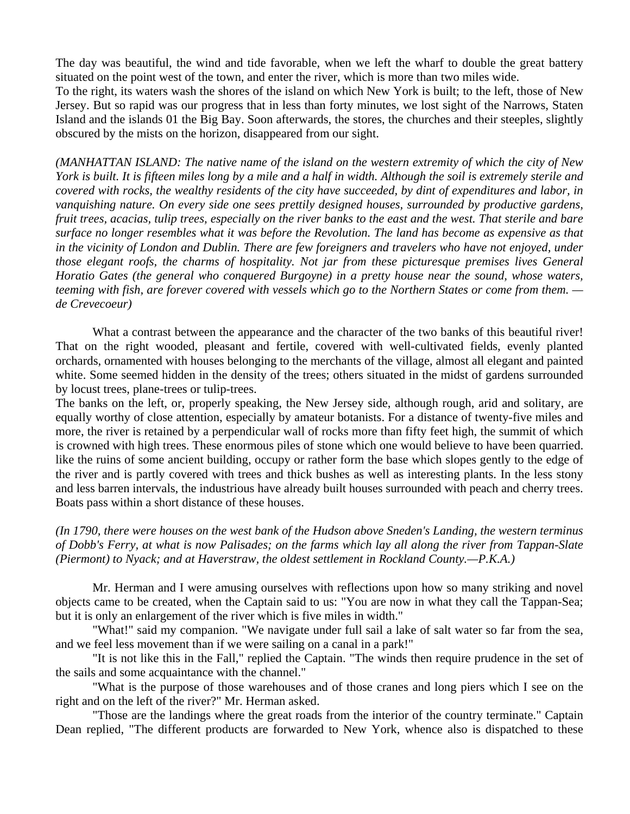The day was beautiful, the wind and tide favorable, when we left the wharf to double the great battery situated on the point west of the town, and enter the river, which is more than two miles wide.

To the right, its waters wash the shores of the island on which New York is built; to the left, those of New Jersey. But so rapid was our progress that in less than forty minutes, we lost sight of the Narrows, Staten Island and the islands 01 the Big Bay. Soon afterwards, the stores, the churches and their steeples, slightly obscured by the mists on the horizon, disappeared from our sight.

*(MANHATTAN ISLAND: The native name of the island on the western extremity of which the city of New York is built. It is fifteen miles long by a mile and a half in width. Although the soil is extremely sterile and covered with rocks, the wealthy residents of the city have succeeded, by dint of expenditures and labor, in vanquishing nature. On every side one sees prettily designed houses, surrounded by productive gardens, fruit trees, acacias, tulip trees, especially on the river banks to the east and the west. That sterile and bare surface no longer resembles what it was before the Revolution. The land has become as expensive as that in the vicinity of London and Dublin. There are few foreigners and travelers who have not enjoyed, under those elegant roofs, the charms of hospitality. Not jar from these picturesque premises lives General Horatio Gates (the general who conquered Burgoyne) in a pretty house near the sound, whose waters, teeming with fish, are forever covered with vessels which go to the Northern States or come from them. de Crevecoeur)* 

What a contrast between the appearance and the character of the two banks of this beautiful river! That on the right wooded, pleasant and fertile, covered with well-cultivated fields, evenly planted orchards, ornamented with houses belonging to the merchants of the village, almost all elegant and painted white. Some seemed hidden in the density of the trees; others situated in the midst of gardens surrounded by locust trees, plane-trees or tulip-trees.

The banks on the left, or, properly speaking, the New Jersey side, although rough, arid and solitary, are equally worthy of close attention, especially by amateur botanists. For a distance of twenty-five miles and more, the river is retained by a perpendicular wall of rocks more than fifty feet high, the summit of which is crowned with high trees. These enormous piles of stone which one would believe to have been quarried. like the ruins of some ancient building, occupy or rather form the base which slopes gently to the edge of the river and is partly covered with trees and thick bushes as well as interesting plants. In the less stony and less barren intervals, the industrious have already built houses surrounded with peach and cherry trees. Boats pass within a short distance of these houses.

## *(In 1790, there were houses on the west bank of the Hudson above Sneden's Landing, the western terminus of Dobb's Ferry, at what is now Palisades; on the farms which lay all along the river from Tappan-Slate (Piermont) to Nyack; and at Haverstraw, the oldest settlement in Rockland County.—P.K.A.)*

 Mr. Herman and I were amusing ourselves with reflections upon how so many striking and novel objects came to be created, when the Captain said to us: "You are now in what they call the Tappan-Sea; but it is only an enlargement of the river which is five miles in width."

 "What!" said my companion. "We navigate under full sail a lake of salt water so far from the sea, and we feel less movement than if we were sailing on a canal in a park!"

 "It is not like this in the Fall," replied the Captain. "The winds then require prudence in the set of the sails and some acquaintance with the channel."

 "What is the purpose of those warehouses and of those cranes and long piers which I see on the right and on the left of the river?" Mr. Herman asked.

 "Those are the landings where the great roads from the interior of the country terminate." Captain Dean replied, "The different products are forwarded to New York, whence also is dispatched to these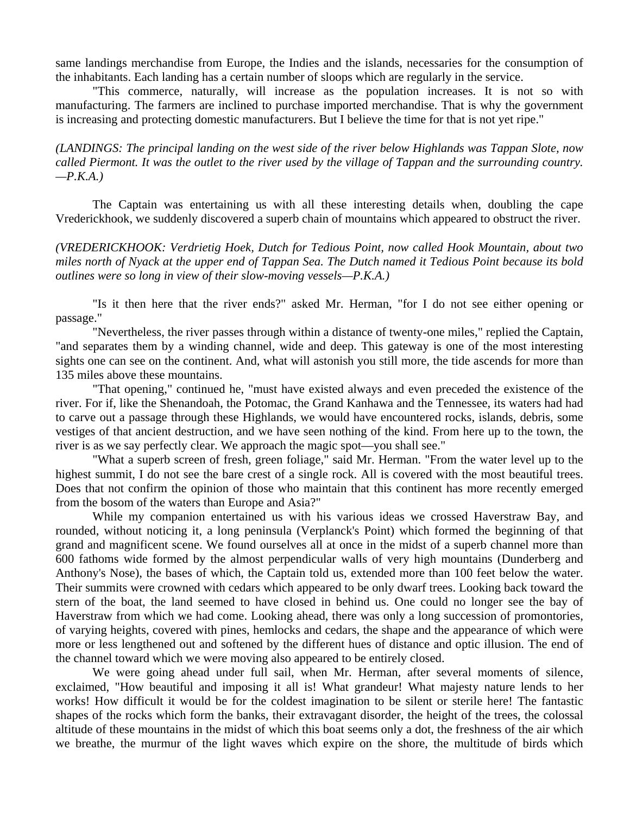same landings merchandise from Europe, the Indies and the islands, necessaries for the consumption of the inhabitants. Each landing has a certain number of sloops which are regularly in the service.

 "This commerce, naturally, will increase as the population increases. It is not so with manufacturing. The farmers are inclined to purchase imported merchandise. That is why the government is increasing and protecting domestic manufacturers. But I believe the time for that is not yet ripe."

*(LANDINGS: The principal landing on the west side of the river below Highlands was Tappan Slote, now called Piermont. It was the outlet to the river used by the village of Tappan and the surrounding country.*   $-P.K.A.$ )

 The Captain was entertaining us with all these interesting details when, doubling the cape Vrederickhook, we suddenly discovered a superb chain of mountains which appeared to obstruct the river.

*(VREDERICKHOOK: Verdrietig Hoek, Dutch for Tedious Point, now called Hook Mountain, about two miles north of Nyack at the upper end of Tappan Sea. The Dutch named it Tedious Point because its bold outlines were so long in view of their slow-moving vessels—P.K.A.)* 

 "Is it then here that the river ends?" asked Mr. Herman, "for I do not see either opening or passage."

 "Nevertheless, the river passes through within a distance of twenty-one miles," replied the Captain, "and separates them by a winding channel, wide and deep. This gateway is one of the most interesting sights one can see on the continent. And, what will astonish you still more, the tide ascends for more than 135 miles above these mountains.

 "That opening," continued he, "must have existed always and even preceded the existence of the river. For if, like the Shenandoah, the Potomac, the Grand Kanhawa and the Tennessee, its waters had had to carve out a passage through these Highlands, we would have encountered rocks, islands, debris, some vestiges of that ancient destruction, and we have seen nothing of the kind. From here up to the town, the river is as we say perfectly clear. We approach the magic spot—you shall see."

 "What a superb screen of fresh, green foliage," said Mr. Herman. "From the water level up to the highest summit, I do not see the bare crest of a single rock. All is covered with the most beautiful trees. Does that not confirm the opinion of those who maintain that this continent has more recently emerged from the bosom of the waters than Europe and Asia?"

 While my companion entertained us with his various ideas we crossed Haverstraw Bay, and rounded, without noticing it, a long peninsula (Verplanck's Point) which formed the beginning of that grand and magnificent scene. We found ourselves all at once in the midst of a superb channel more than 600 fathoms wide formed by the almost perpendicular walls of very high mountains (Dunderberg and Anthony's Nose), the bases of which, the Captain told us, extended more than 100 feet below the water. Their summits were crowned with cedars which appeared to be only dwarf trees. Looking back toward the stern of the boat, the land seemed to have closed in behind us. One could no longer see the bay of Haverstraw from which we had come. Looking ahead, there was only a long succession of promontories, of varying heights, covered with pines, hemlocks and cedars, the shape and the appearance of which were more or less lengthened out and softened by the different hues of distance and optic illusion. The end of the channel toward which we were moving also appeared to be entirely closed.

 We were going ahead under full sail, when Mr. Herman, after several moments of silence, exclaimed, "How beautiful and imposing it all is! What grandeur! What majesty nature lends to her works! How difficult it would be for the coldest imagination to be silent or sterile here! The fantastic shapes of the rocks which form the banks, their extravagant disorder, the height of the trees, the colossal altitude of these mountains in the midst of which this boat seems only a dot, the freshness of the air which we breathe, the murmur of the light waves which expire on the shore, the multitude of birds which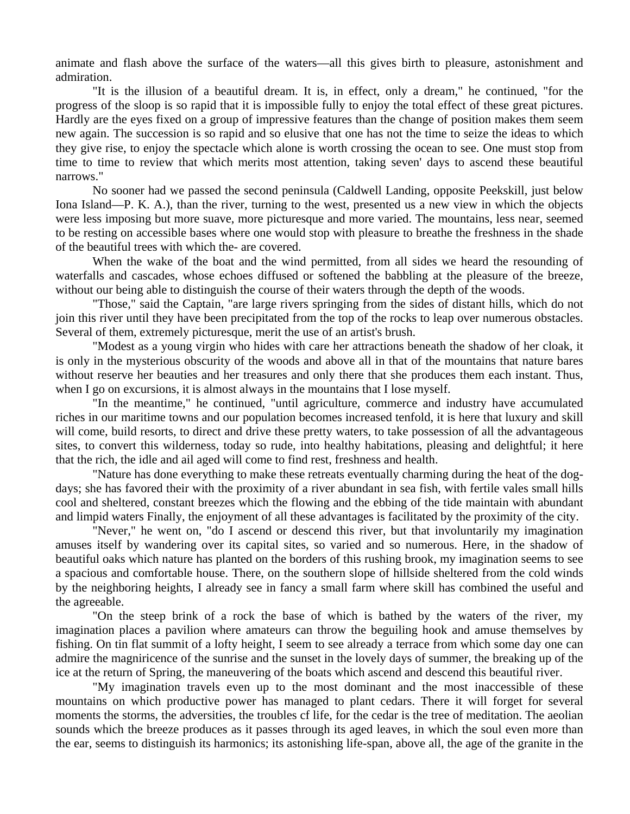animate and flash above the surface of the waters—all this gives birth to pleasure, astonishment and admiration.

 "It is the illusion of a beautiful dream. It is, in effect, only a dream," he continued, "for the progress of the sloop is so rapid that it is impossible fully to enjoy the total effect of these great pictures. Hardly are the eyes fixed on a group of impressive features than the change of position makes them seem new again. The succession is so rapid and so elusive that one has not the time to seize the ideas to which they give rise, to enjoy the spectacle which alone is worth crossing the ocean to see. One must stop from time to time to review that which merits most attention, taking seven' days to ascend these beautiful narrows."

 No sooner had we passed the second peninsula (Caldwell Landing, opposite Peekskill, just below Iona Island—P. K. A.), than the river, turning to the west, presented us a new view in which the objects were less imposing but more suave, more picturesque and more varied. The mountains, less near, seemed to be resting on accessible bases where one would stop with pleasure to breathe the freshness in the shade of the beautiful trees with which the- are covered.

 When the wake of the boat and the wind permitted, from all sides we heard the resounding of waterfalls and cascades, whose echoes diffused or softened the babbling at the pleasure of the breeze, without our being able to distinguish the course of their waters through the depth of the woods.

 "Those," said the Captain, "are large rivers springing from the sides of distant hills, which do not join this river until they have been precipitated from the top of the rocks to leap over numerous obstacles. Several of them, extremely picturesque, merit the use of an artist's brush.

 "Modest as a young virgin who hides with care her attractions beneath the shadow of her cloak, it is only in the mysterious obscurity of the woods and above all in that of the mountains that nature bares without reserve her beauties and her treasures and only there that she produces them each instant. Thus, when I go on excursions, it is almost always in the mountains that I lose myself.

 "In the meantime," he continued, "until agriculture, commerce and industry have accumulated riches in our maritime towns and our population becomes increased tenfold, it is here that luxury and skill will come, build resorts, to direct and drive these pretty waters, to take possession of all the advantageous sites, to convert this wilderness, today so rude, into healthy habitations, pleasing and delightful; it here that the rich, the idle and ail aged will come to find rest, freshness and health.

 "Nature has done everything to make these retreats eventually charming during the heat of the dogdays; she has favored their with the proximity of a river abundant in sea fish, with fertile vales small hills cool and sheltered, constant breezes which the flowing and the ebbing of the tide maintain with abundant and limpid waters Finally, the enjoyment of all these advantages is facilitated by the proximity of the city.

 "Never," he went on, "do I ascend or descend this river, but that involuntarily my imagination amuses itself by wandering over its capital sites, so varied and so numerous. Here, in the shadow of beautiful oaks which nature has planted on the borders of this rushing brook, my imagination seems to see a spacious and comfortable house. There, on the southern slope of hillside sheltered from the cold winds by the neighboring heights, I already see in fancy a small farm where skill has combined the useful and the agreeable.

 "On the steep brink of a rock the base of which is bathed by the waters of the river, my imagination places a pavilion where amateurs can throw the beguiling hook and amuse themselves by fishing. On tin flat summit of a lofty height, I seem to see already a terrace from which some day one can admire the magniricence of the sunrise and the sunset in the lovely days of summer, the breaking up of the ice at the return of Spring, the maneuvering of the boats which ascend and descend this beautiful river.

 "My imagination travels even up to the most dominant and the most inaccessible of these mountains on which productive power has managed to plant cedars. There it will forget for several moments the storms, the adversities, the troubles cf life, for the cedar is the tree of meditation. The aeolian sounds which the breeze produces as it passes through its aged leaves, in which the soul even more than the ear, seems to distinguish its harmonics; its astonishing life-span, above all, the age of the granite in the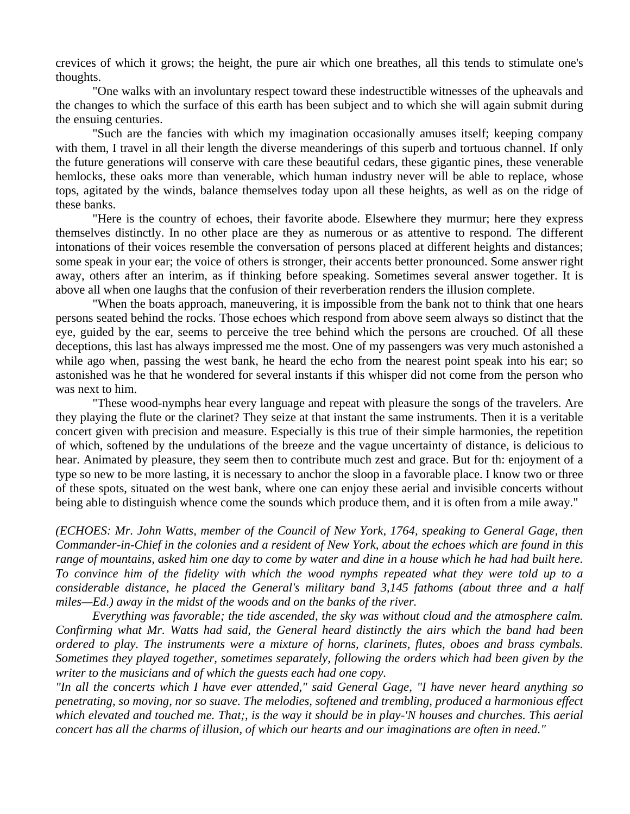crevices of which it grows; the height, the pure air which one breathes, all this tends to stimulate one's thoughts.

 "One walks with an involuntary respect toward these indestructible witnesses of the upheavals and the changes to which the surface of this earth has been subject and to which she will again submit during the ensuing centuries.

 "Such are the fancies with which my imagination occasionally amuses itself; keeping company with them, I travel in all their length the diverse meanderings of this superb and tortuous channel. If only the future generations will conserve with care these beautiful cedars, these gigantic pines, these venerable hemlocks, these oaks more than venerable, which human industry never will be able to replace, whose tops, agitated by the winds, balance themselves today upon all these heights, as well as on the ridge of these banks.

 "Here is the country of echoes, their favorite abode. Elsewhere they murmur; here they express themselves distinctly. In no other place are they as numerous or as attentive to respond. The different intonations of their voices resemble the conversation of persons placed at different heights and distances; some speak in your ear; the voice of others is stronger, their accents better pronounced. Some answer right away, others after an interim, as if thinking before speaking. Sometimes several answer together. It is above all when one laughs that the confusion of their reverberation renders the illusion complete.

 "When the boats approach, maneuvering, it is impossible from the bank not to think that one hears persons seated behind the rocks. Those echoes which respond from above seem always so distinct that the eye, guided by the ear, seems to perceive the tree behind which the persons are crouched. Of all these deceptions, this last has always impressed me the most. One of my passengers was very much astonished a while ago when, passing the west bank, he heard the echo from the nearest point speak into his ear; so astonished was he that he wondered for several instants if this whisper did not come from the person who was next to him.

 "These wood-nymphs hear every language and repeat with pleasure the songs of the travelers. Are they playing the flute or the clarinet? They seize at that instant the same instruments. Then it is a veritable concert given with precision and measure. Especially is this true of their simple harmonies, the repetition of which, softened by the undulations of the breeze and the vague uncertainty of distance, is delicious to hear. Animated by pleasure, they seem then to contribute much zest and grace. But for th: enjoyment of a type so new to be more lasting, it is necessary to anchor the sloop in a favorable place. I know two or three of these spots, situated on the west bank, where one can enjoy these aerial and invisible concerts without being able to distinguish whence come the sounds which produce them, and it is often from a mile away."

*(ECHOES: Mr. John Watts, member of the Council of New York, 1764, speaking to General Gage, then Commander-in-Chief in the colonies and a resident of New York, about the echoes which are found in this range of mountains, asked him one day to come by water and dine in a house which he had had built here. To convince him of the fidelity with which the wood nymphs repeated what they were told up to a considerable distance, he placed the General's military band 3,145 fathoms (about three and a half miles—Ed.) away in the midst of the woods and on the banks of the river.* 

 *Everything was favorable; the tide ascended, the sky was without cloud and the atmosphere calm. Confirming what Mr. Watts had said, the General heard distinctly the airs which the band had been ordered to play. The instruments were a mixture of horns, clarinets, flutes, oboes and brass cymbals. Sometimes they played together, sometimes separately, following the orders which had been given by the writer to the musicians and of which the guests each had one copy.* 

*"In all the concerts which I have ever attended," said General Gage, "I have never heard anything so penetrating, so moving, nor so suave. The melodies, softened and trembling, produced a harmonious effect which elevated and touched me. That;, is the way it should be in play-'N houses and churches. This aerial concert has all the charms of illusion, of which our hearts and our imaginations are often in need."*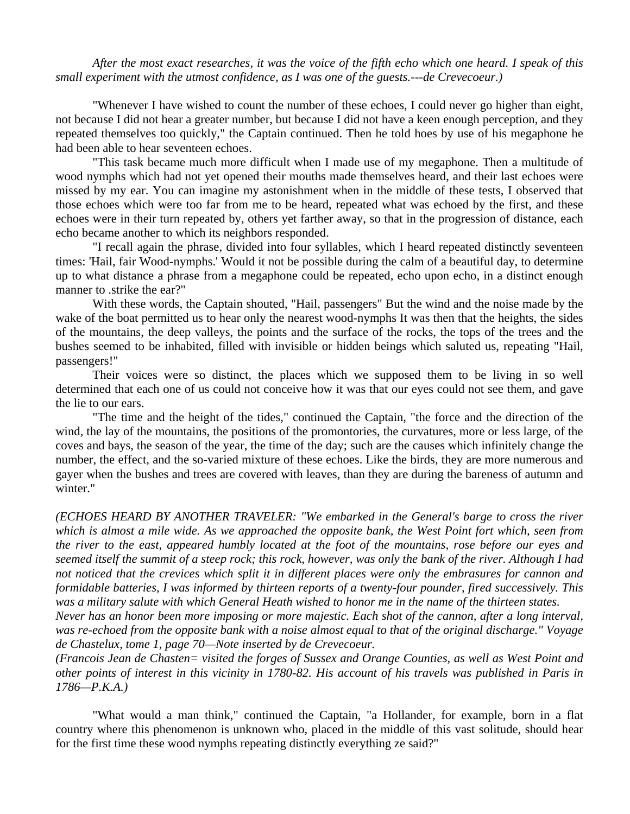*After the most exact researches, it was the voice of the fifth echo which one heard. I speak of this small experiment with the utmost confidence, as I was one of the guests.---de Crevecoeur.)* 

 "Whenever I have wished to count the number of these echoes, I could never go higher than eight, not because I did not hear a greater number, but because I did not have a keen enough perception, and they repeated themselves too quickly," the Captain continued. Then he told hoes by use of his megaphone he had been able to hear seventeen echoes.

 "This task became much more difficult when I made use of my megaphone. Then a multitude of wood nymphs which had not yet opened their mouths made themselves heard, and their last echoes were missed by my ear. You can imagine my astonishment when in the middle of these tests, I observed that those echoes which were too far from me to be heard, repeated what was echoed by the first, and these echoes were in their turn repeated by, others yet farther away, so that in the progression of distance, each echo became another to which its neighbors responded.

 "I recall again the phrase, divided into four syllables, which I heard repeated distinctly seventeen times: 'Hail, fair Wood-nymphs.' Would it not be possible during the calm of a beautiful day, to determine up to what distance a phrase from a megaphone could be repeated, echo upon echo, in a distinct enough manner to .strike the ear?"

 With these words, the Captain shouted, "Hail, passengers" But the wind and the noise made by the wake of the boat permitted us to hear only the nearest wood-nymphs It was then that the heights, the sides of the mountains, the deep valleys, the points and the surface of the rocks, the tops of the trees and the bushes seemed to be inhabited, filled with invisible or hidden beings which saluted us, repeating "Hail, passengers!"

 Their voices were so distinct, the places which we supposed them to be living in so well determined that each one of us could not conceive how it was that our eyes could not see them, and gave the lie to our ears.

 "The time and the height of the tides," continued the Captain, "the force and the direction of the wind, the lay of the mountains, the positions of the promontories, the curvatures, more or less large, of the coves and bays, the season of the year, the time of the day; such are the causes which infinitely change the number, the effect, and the so-varied mixture of these echoes. Like the birds, they are more numerous and gayer when the bushes and trees are covered with leaves, than they are during the bareness of autumn and winter."

*(ECHOES HEARD BY ANOTHER TRAVELER: "We embarked in the General's barge to cross the river which is almost a mile wide. As we approached the opposite bank, the West Point fort which, seen from the river to the east, appeared humbly located at the foot of the mountains, rose before our eyes and seemed itself the summit of a steep rock; this rock, however, was only the bank of the river. Although I had not noticed that the crevices which split it in different places were only the embrasures for cannon and formidable batteries, I was informed by thirteen reports of a twenty-four pounder, fired successively. This was a military salute with which General Heath wished to honor me in the name of the thirteen states.* 

*Never has an honor been more imposing or more majestic. Each shot of the cannon, after a long interval, was re-echoed from the opposite bank with a noise almost equal to that of the original discharge." Voyage de Chastelux, tome 1, page 70—Note inserted by de Crevecoeur.* 

*(Francois Jean de Chasten= visited the forges of Sussex and Orange Counties, as well as West Point and other points of interest in this vicinity in 1780-82. His account of his travels was published in Paris in 1786—P.K.A.)* 

 "What would a man think," continued the Captain, "a Hollander, for example, born in a flat country where this phenomenon is unknown who, placed in the middle of this vast solitude, should hear for the first time these wood nymphs repeating distinctly everything ze said?"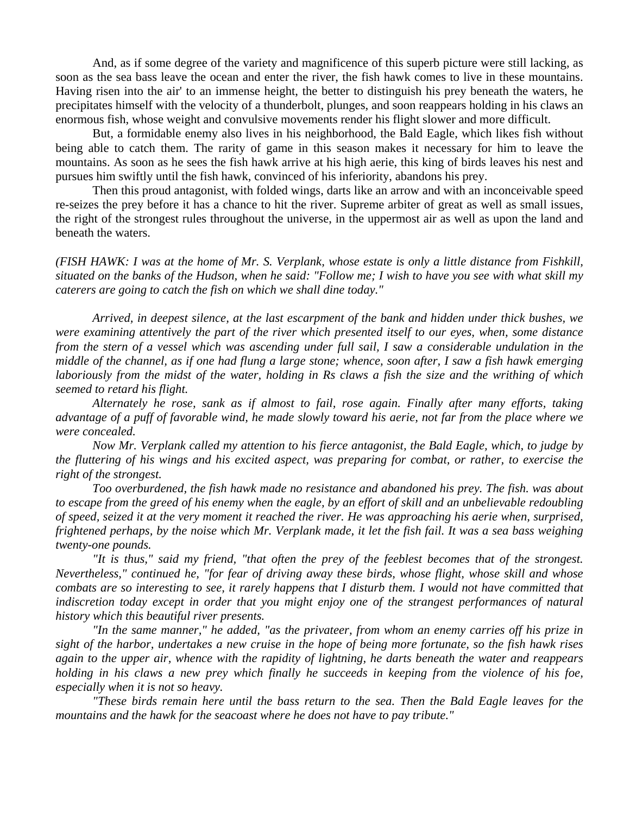And, as if some degree of the variety and magnificence of this superb picture were still lacking, as soon as the sea bass leave the ocean and enter the river, the fish hawk comes to live in these mountains. Having risen into the air' to an immense height, the better to distinguish his prey beneath the waters, he precipitates himself with the velocity of a thunderbolt, plunges, and soon reappears holding in his claws an enormous fish, whose weight and convulsive movements render his flight slower and more difficult.

 But, a formidable enemy also lives in his neighborhood, the Bald Eagle, which likes fish without being able to catch them. The rarity of game in this season makes it necessary for him to leave the mountains. As soon as he sees the fish hawk arrive at his high aerie, this king of birds leaves his nest and pursues him swiftly until the fish hawk, convinced of his inferiority, abandons his prey.

 Then this proud antagonist, with folded wings, darts like an arrow and with an inconceivable speed re-seizes the prey before it has a chance to hit the river. Supreme arbiter of great as well as small issues, the right of the strongest rules throughout the universe, in the uppermost air as well as upon the land and beneath the waters.

*(FISH HAWK: I was at the home of Mr. S. Verplank, whose estate is only a little distance from Fishkill, situated on the banks of the Hudson, when he said: "Follow me; I wish to have you see with what skill my caterers are going to catch the fish on which we shall dine today."* 

 *Arrived, in deepest silence, at the last escarpment of the bank and hidden under thick bushes, we were examining attentively the part of the river which presented itself to our eyes, when, some distance from the stern of a vessel which was ascending under full sail, I saw a considerable undulation in the middle of the channel, as if one had flung a large stone; whence, soon after, I saw a fish hawk emerging laboriously from the midst of the water, holding in Rs claws a fish the size and the writhing of which seemed to retard his flight.* 

 *Alternately he rose, sank as if almost to fail, rose again. Finally after many efforts, taking advantage of a puff of favorable wind, he made slowly toward his aerie, not far from the place where we were concealed.* 

 *Now Mr. Verplank called my attention to his fierce antagonist, the Bald Eagle, which, to judge by the fluttering of his wings and his excited aspect, was preparing for combat, or rather, to exercise the right of the strongest.* 

 *Too overburdened, the fish hawk made no resistance and abandoned his prey. The fish. was about to escape from the greed of his enemy when the eagle, by an effort of skill and an unbelievable redoubling of speed, seized it at the very moment it reached the river. He was approaching his aerie when, surprised, frightened perhaps, by the noise which Mr. Verplank made, it let the fish fail. It was a sea bass weighing twenty-one pounds.* 

 *"It is thus," said my friend, "that often the prey of the feeblest becomes that of the strongest. Nevertheless," continued he, "for fear of driving away these birds, whose flight, whose skill and whose combats are so interesting to see, it rarely happens that I disturb them. I would not have committed that indiscretion today except in order that you might enjoy one of the strangest performances of natural history which this beautiful river presents.* 

 *"In the same manner," he added, "as the privateer, from whom an enemy carries off his prize in sight of the harbor, undertakes a new cruise in the hope of being more fortunate, so the fish hawk rises again to the upper air, whence with the rapidity of lightning, he darts beneath the water and reappears holding in his claws a new prey which finally he succeeds in keeping from the violence of his foe, especially when it is not so heavy.* 

 *"These birds remain here until the bass return to the sea. Then the Bald Eagle leaves for the mountains and the hawk for the seacoast where he does not have to pay tribute."*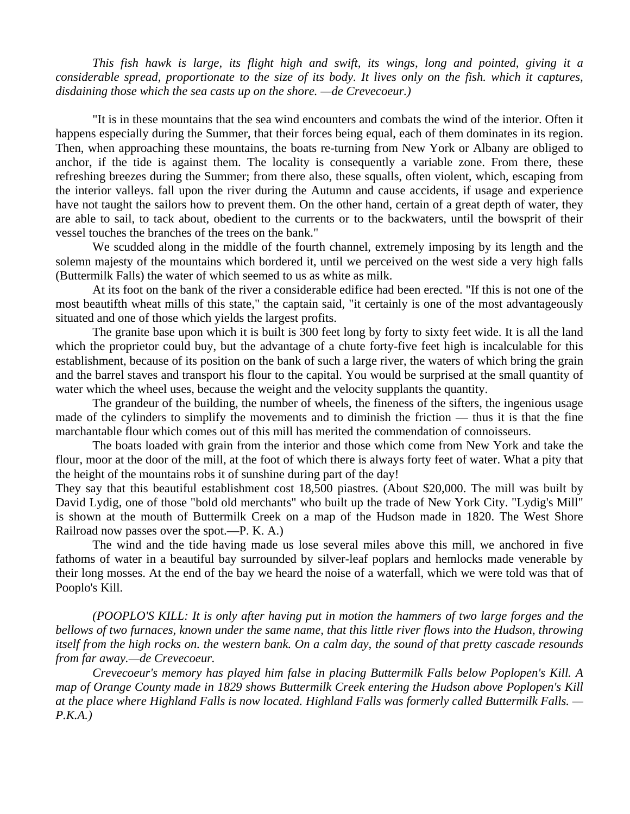*This fish hawk is large, its flight high and swift, its wings, long and pointed, giving it a considerable spread, proportionate to the size of its body. It lives only on the fish. which it captures, disdaining those which the sea casts up on the shore. —de Crevecoeur.)* 

 "It is in these mountains that the sea wind encounters and combats the wind of the interior. Often it happens especially during the Summer, that their forces being equal, each of them dominates in its region. Then, when approaching these mountains, the boats re-turning from New York or Albany are obliged to anchor, if the tide is against them. The locality is consequently a variable zone. From there, these refreshing breezes during the Summer; from there also, these squalls, often violent, which, escaping from the interior valleys. fall upon the river during the Autumn and cause accidents, if usage and experience have not taught the sailors how to prevent them. On the other hand, certain of a great depth of water, they are able to sail, to tack about, obedient to the currents or to the backwaters, until the bowsprit of their vessel touches the branches of the trees on the bank."

 We scudded along in the middle of the fourth channel, extremely imposing by its length and the solemn majesty of the mountains which bordered it, until we perceived on the west side a very high falls (Buttermilk Falls) the water of which seemed to us as white as milk.

 At its foot on the bank of the river a considerable edifice had been erected. "If this is not one of the most beautifth wheat mills of this state," the captain said, "it certainly is one of the most advantageously situated and one of those which yields the largest profits.

 The granite base upon which it is built is 300 feet long by forty to sixty feet wide. It is all the land which the proprietor could buy, but the advantage of a chute forty-five feet high is incalculable for this establishment, because of its position on the bank of such a large river, the waters of which bring the grain and the barrel staves and transport his flour to the capital. You would be surprised at the small quantity of water which the wheel uses, because the weight and the velocity supplants the quantity.

 The grandeur of the building, the number of wheels, the fineness of the sifters, the ingenious usage made of the cylinders to simplify the movements and to diminish the friction — thus it is that the fine marchantable flour which comes out of this mill has merited the commendation of connoisseurs.

 The boats loaded with grain from the interior and those which come from New York and take the flour, moor at the door of the mill, at the foot of which there is always forty feet of water. What a pity that the height of the mountains robs it of sunshine during part of the day!

They say that this beautiful establishment cost 18,500 piastres. (About \$20,000. The mill was built by David Lydig, one of those "bold old merchants" who built up the trade of New York City. "Lydig's Mill" is shown at the mouth of Buttermilk Creek on a map of the Hudson made in 1820. The West Shore Railroad now passes over the spot.—P. K. A.)

 The wind and the tide having made us lose several miles above this mill, we anchored in five fathoms of water in a beautiful bay surrounded by silver-leaf poplars and hemlocks made venerable by their long mosses. At the end of the bay we heard the noise of a waterfall, which we were told was that of Pooplo's Kill.

*(POOPLO'S KILL: It is only after having put in motion the hammers of two large forges and the bellows of two furnaces, known under the same name, that this little river flows into the Hudson, throwing itself from the high rocks on. the western bank. On a calm day, the sound of that pretty cascade resounds from far away.—de Crevecoeur.* 

*Crevecoeur's memory has played him false in placing Buttermilk Falls below Poplopen's Kill. A map of Orange County made in 1829 shows Buttermilk Creek entering the Hudson above Poplopen's Kill at the place where Highland Falls is now located. Highland Falls was formerly called Buttermilk Falls. — P.K.A.)*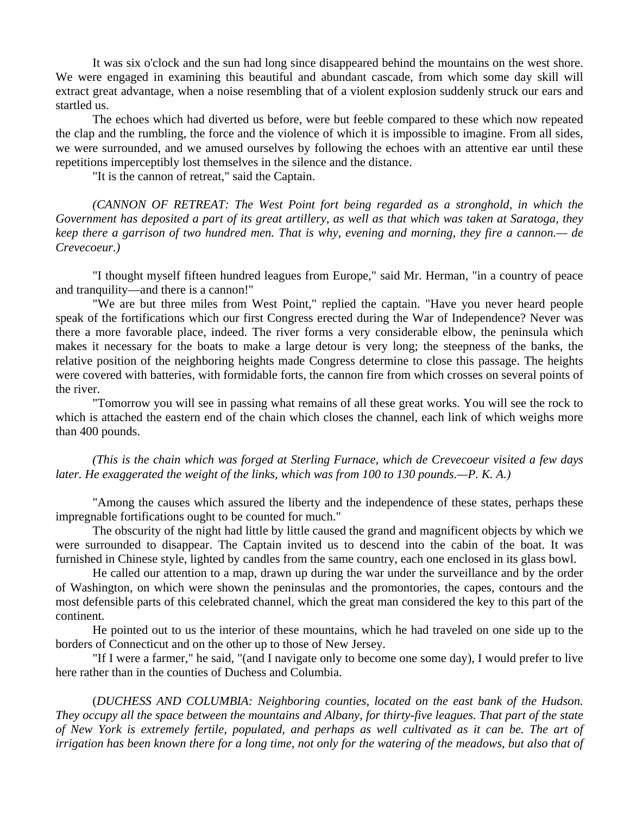It was six o'clock and the sun had long since disappeared behind the mountains on the west shore. We were engaged in examining this beautiful and abundant cascade, from which some day skill will extract great advantage, when a noise resembling that of a violent explosion suddenly struck our ears and startled us.

 The echoes which had diverted us before, were but feeble compared to these which now repeated the clap and the rumbling, the force and the violence of which it is impossible to imagine. From all sides, we were surrounded, and we amused ourselves by following the echoes with an attentive ear until these repetitions imperceptibly lost themselves in the silence and the distance.

"It is the cannon of retreat," said the Captain.

*(CANNON OF RETREAT: The West Point fort being regarded as a stronghold, in which the Government has deposited a part of its great artillery, as well as that which was taken at Saratoga, they keep there a garrison of two hundred men. That is why, evening and morning, they fire a cannon.— de Crevecoeur.)* 

 "I thought myself fifteen hundred leagues from Europe," said Mr. Herman, "in a country of peace and tranquility—and there is a cannon!"

 "We are but three miles from West Point," replied the captain. "Have you never heard people speak of the fortifications which our first Congress erected during the War of Independence? Never was there a more favorable place, indeed. The river forms a very considerable elbow, the peninsula which makes it necessary for the boats to make a large detour is very long; the steepness of the banks, the relative position of the neighboring heights made Congress determine to close this passage. The heights were covered with batteries, with formidable forts, the cannon fire from which crosses on several points of the river.

 "Tomorrow you will see in passing what remains of all these great works. You will see the rock to which is attached the eastern end of the chain which closes the channel, each link of which weighs more than 400 pounds.

 *(This is the chain which was forged at Sterling Furnace, which de Crevecoeur visited a few days later. He exaggerated the weight of the links, which was from 100 to 130 pounds.—P. K. A.)* 

 "Among the causes which assured the liberty and the independence of these states, perhaps these impregnable fortifications ought to be counted for much."

 The obscurity of the night had little by little caused the grand and magnificent objects by which we were surrounded to disappear. The Captain invited us to descend into the cabin of the boat. It was furnished in Chinese style, lighted by candles from the same country, each one enclosed in its glass bowl.

 He called our attention to a map, drawn up during the war under the surveillance and by the order of Washington, on which were shown the peninsulas and the promontories, the capes, contours and the most defensible parts of this celebrated channel, which the great man considered the key to this part of the continent.

 He pointed out to us the interior of these mountains, which he had traveled on one side up to the borders of Connecticut and on the other up to those of New Jersey.

 "If I were a farmer," he said, "(and I navigate only to become one some day), I would prefer to live here rather than in the counties of Duchess and Columbia.

 (*DUCHESS AND COLUMBIA: Neighboring counties, located on the east bank of the Hudson. They occupy all the space between the mountains and Albany, for thirty-five leagues. That part of the state of New York is extremely fertile, populated, and perhaps as well cultivated as it can be. The art of irrigation has been known there for a long time, not only for the watering of the meadows, but also that of*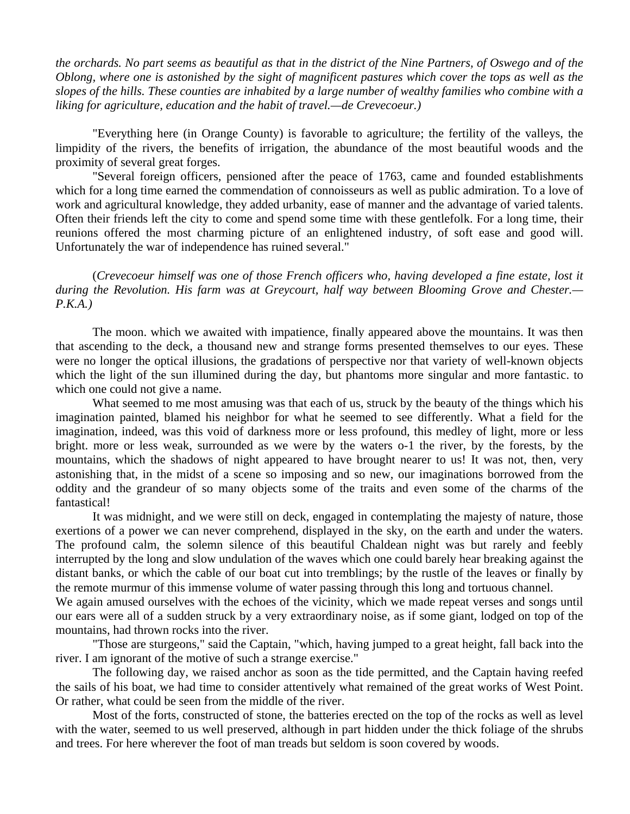*the orchards. No part seems as beautiful as that in the district of the Nine Partners, of Oswego and of the Oblong, where one is astonished by the sight of magnificent pastures which cover the tops as well as the slopes of the hills. These counties are inhabited by a large number of wealthy families who combine with a liking for agriculture, education and the habit of travel.—de Crevecoeur.)* 

 "Everything here (in Orange County) is favorable to agriculture; the fertility of the valleys, the limpidity of the rivers, the benefits of irrigation, the abundance of the most beautiful woods and the proximity of several great forges.

 "Several foreign officers, pensioned after the peace of 1763, came and founded establishments which for a long time earned the commendation of connoisseurs as well as public admiration. To a love of work and agricultural knowledge, they added urbanity, ease of manner and the advantage of varied talents. Often their friends left the city to come and spend some time with these gentlefolk. For a long time, their reunions offered the most charming picture of an enlightened industry, of soft ease and good will. Unfortunately the war of independence has ruined several."

 (*Crevecoeur himself was one of those French officers who, having developed a fine estate, lost it during the Revolution. His farm was at Greycourt, half way between Blooming Grove and Chester.— P.K.A.)* 

 The moon. which we awaited with impatience, finally appeared above the mountains. It was then that ascending to the deck, a thousand new and strange forms presented themselves to our eyes. These were no longer the optical illusions, the gradations of perspective nor that variety of well-known objects which the light of the sun illumined during the day, but phantoms more singular and more fantastic. to which one could not give a name.

 What seemed to me most amusing was that each of us, struck by the beauty of the things which his imagination painted, blamed his neighbor for what he seemed to see differently. What a field for the imagination, indeed, was this void of darkness more or less profound, this medley of light, more or less bright. more or less weak, surrounded as we were by the waters o-1 the river, by the forests, by the mountains, which the shadows of night appeared to have brought nearer to us! It was not, then, very astonishing that, in the midst of a scene so imposing and so new, our imaginations borrowed from the oddity and the grandeur of so many objects some of the traits and even some of the charms of the fantastical!

 It was midnight, and we were still on deck, engaged in contemplating the majesty of nature, those exertions of a power we can never comprehend, displayed in the sky, on the earth and under the waters. The profound calm, the solemn silence of this beautiful Chaldean night was but rarely and feebly interrupted by the long and slow undulation of the waves which one could barely hear breaking against the distant banks, or which the cable of our boat cut into tremblings; by the rustle of the leaves or finally by the remote murmur of this immense volume of water passing through this long and tortuous channel.

We again amused ourselves with the echoes of the vicinity, which we made repeat verses and songs until our ears were all of a sudden struck by a very extraordinary noise, as if some giant, lodged on top of the mountains, had thrown rocks into the river.

 "Those are sturgeons," said the Captain, "which, having jumped to a great height, fall back into the river. I am ignorant of the motive of such a strange exercise."

 The following day, we raised anchor as soon as the tide permitted, and the Captain having reefed the sails of his boat, we had time to consider attentively what remained of the great works of West Point. Or rather, what could be seen from the middle of the river.

 Most of the forts, constructed of stone, the batteries erected on the top of the rocks as well as level with the water, seemed to us well preserved, although in part hidden under the thick foliage of the shrubs and trees. For here wherever the foot of man treads but seldom is soon covered by woods.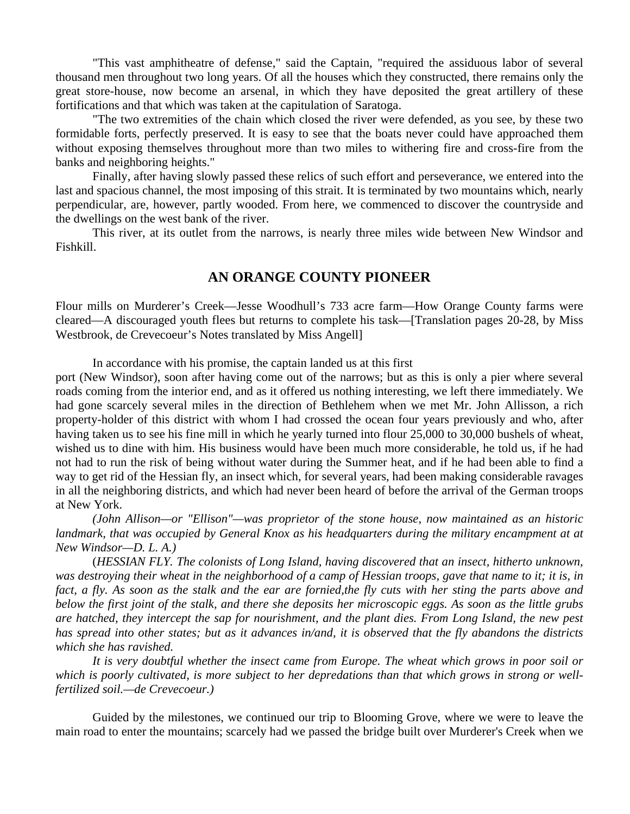"This vast amphitheatre of defense," said the Captain, "required the assiduous labor of several thousand men throughout two long years. Of all the houses which they constructed, there remains only the great store-house, now become an arsenal, in which they have deposited the great artillery of these fortifications and that which was taken at the capitulation of Saratoga.

 "The two extremities of the chain which closed the river were defended, as you see, by these two formidable forts, perfectly preserved. It is easy to see that the boats never could have approached them without exposing themselves throughout more than two miles to withering fire and cross-fire from the banks and neighboring heights."

 Finally, after having slowly passed these relics of such effort and perseverance, we entered into the last and spacious channel, the most imposing of this strait. It is terminated by two mountains which, nearly perpendicular, are, however, partly wooded. From here, we commenced to discover the countryside and the dwellings on the west bank of the river.

 This river, at its outlet from the narrows, is nearly three miles wide between New Windsor and Fishkill.

## **AN ORANGE COUNTY PIONEER**

Flour mills on Murderer's Creek—Jesse Woodhull's 733 acre farm—How Orange County farms were cleared—A discouraged youth flees but returns to complete his task—[Translation pages 20-28, by Miss Westbrook, de Crevecoeur's Notes translated by Miss Angell]

In accordance with his promise, the captain landed us at this first

port (New Windsor), soon after having come out of the narrows; but as this is only a pier where several roads coming from the interior end, and as it offered us nothing interesting, we left there immediately. We had gone scarcely several miles in the direction of Bethlehem when we met Mr. John Allisson, a rich property-holder of this district with whom I had crossed the ocean four years previously and who, after having taken us to see his fine mill in which he yearly turned into flour 25,000 to 30,000 bushels of wheat, wished us to dine with him. His business would have been much more considerable, he told us, if he had not had to run the risk of being without water during the Summer heat, and if he had been able to find a way to get rid of the Hessian fly, an insect which, for several years, had been making considerable ravages in all the neighboring districts, and which had never been heard of before the arrival of the German troops at New York.

*(John Allison—or "Ellison"—was proprietor of the stone house, now maintained as an historic*  landmark, that was occupied by General Knox as his headquarters during the military encampment at at *New Windsor—D. L. A.)* 

 (*HESSIAN FLY. The colonists of Long Island, having discovered that an insect, hitherto unknown, was destroying their wheat in the neighborhood of a camp of Hessian troops, gave that name to it; it is, in fact, a fly. As soon as the stalk and the ear are fornied,the fly cuts with her sting the parts above and below the first joint of the stalk, and there she deposits her microscopic eggs. As soon as the little grubs are hatched, they intercept the sap for nourishment, and the plant dies. From Long Island, the new pest has spread into other states; but as it advances in/and, it is observed that the fly abandons the districts which she has ravished.* 

 *It is very doubtful whether the insect came from Europe. The wheat which grows in poor soil or which is poorly cultivated, is more subject to her depredations than that which grows in strong or wellfertilized soil.—de Crevecoeur.)* 

 Guided by the milestones, we continued our trip to Blooming Grove, where we were to leave the main road to enter the mountains; scarcely had we passed the bridge built over Murderer's Creek when we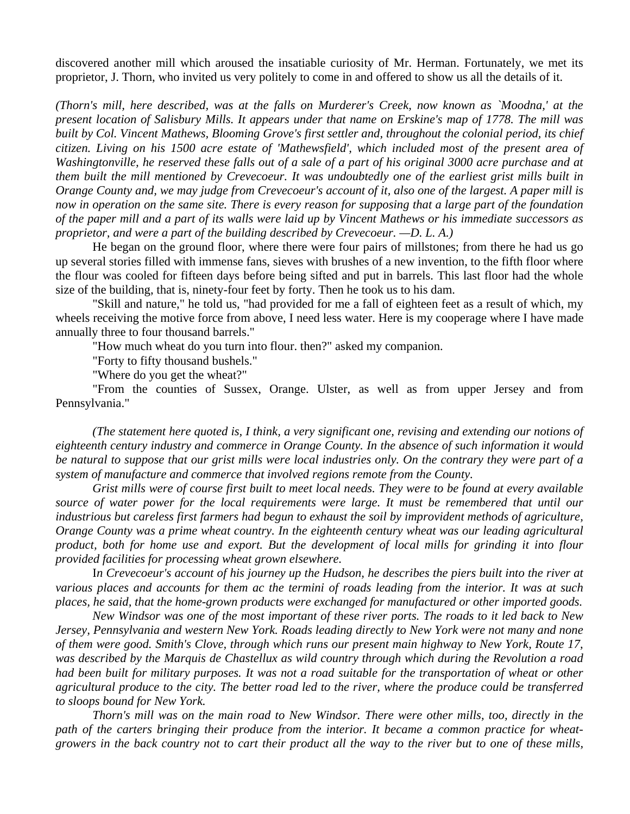discovered another mill which aroused the insatiable curiosity of Mr. Herman. Fortunately, we met its proprietor, J. Thorn, who invited us very politely to come in and offered to show us all the details of it.

*(Thorn's mill, here described, was at the falls on Murderer's Creek, now known as `Moodna,' at the present location of Salisbury Mills. It appears under that name on Erskine's map of 1778. The mill was built by Col. Vincent Mathews, Blooming Grove's first settler and, throughout the colonial period, its chief citizen. Living on his 1500 acre estate of 'Mathewsfield', which included most of the present area of Washingtonville, he reserved these falls out of a sale of a part of his original 3000 acre purchase and at them built the mill mentioned by Crevecoeur. It was undoubtedly one of the earliest grist mills built in Orange County and, we may judge from Crevecoeur's account of it, also one of the largest. A paper mill is now in operation on the same site. There is every reason for supposing that a large part of the foundation of the paper mill and a part of its walls were laid up by Vincent Mathews or his immediate successors as proprietor, and were a part of the building described by Crevecoeur. —D. L. A.)* 

 He began on the ground floor, where there were four pairs of millstones; from there he had us go up several stories filled with immense fans, sieves with brushes of a new invention, to the fifth floor where the flour was cooled for fifteen days before being sifted and put in barrels. This last floor had the whole size of the building, that is, ninety-four feet by forty. Then he took us to his dam.

 "Skill and nature," he told us, "had provided for me a fall of eighteen feet as a result of which, my wheels receiving the motive force from above, I need less water. Here is my cooperage where I have made annually three to four thousand barrels."

"How much wheat do you turn into flour. then?" asked my companion.

"Forty to fifty thousand bushels."

"Where do you get the wheat?"

 "From the counties of Sussex, Orange. Ulster, as well as from upper Jersey and from Pennsylvania."

*(The statement here quoted is, I think, a very significant one, revising and extending our notions of eighteenth century industry and commerce in Orange County. In the absence of such information it would be natural to suppose that our grist mills were local industries only. On the contrary they were part of a system of manufacture and commerce that involved regions remote from the County.* 

 *Grist mills were of course first built to meet local needs. They were to be found at every available source of water power for the local requirements were large. It must be remembered that until our industrious but careless first farmers had begun to exhaust the soil by improvident methods of agriculture, Orange County was a prime wheat country. In the eighteenth century wheat was our leading agricultural product, both for home use and export. But the development of local mills for grinding it into flour provided facilities for processing wheat grown elsewhere.* 

 I*n Crevecoeur's account of his journey up the Hudson, he describes the piers built into the river at various places and accounts for them ac the termini of roads leading from the interior. It was at such places, he said, that the home-grown products were exchanged for manufactured or other imported goods.* 

 *New Windsor was one of the most important of these river ports. The roads to it led back to New Jersey, Pennsylvania and western New York. Roads leading directly to New York were not many and none of them were good. Smith's Clove, through which runs our present main highway to New York, Route 17, was described by the Marquis de Chastellux as wild country through which during the Revolution a road had been built for military purposes. It was not a road suitable for the transportation of wheat or other agricultural produce to the city. The better road led to the river, where the produce could be transferred to sloops bound for New York.* 

 *Thorn's mill was on the main road to New Windsor. There were other mills, too, directly in the path of the carters bringing their produce from the interior. It became a common practice for wheatgrowers in the back country not to cart their product all the way to the river but to one of these mills,*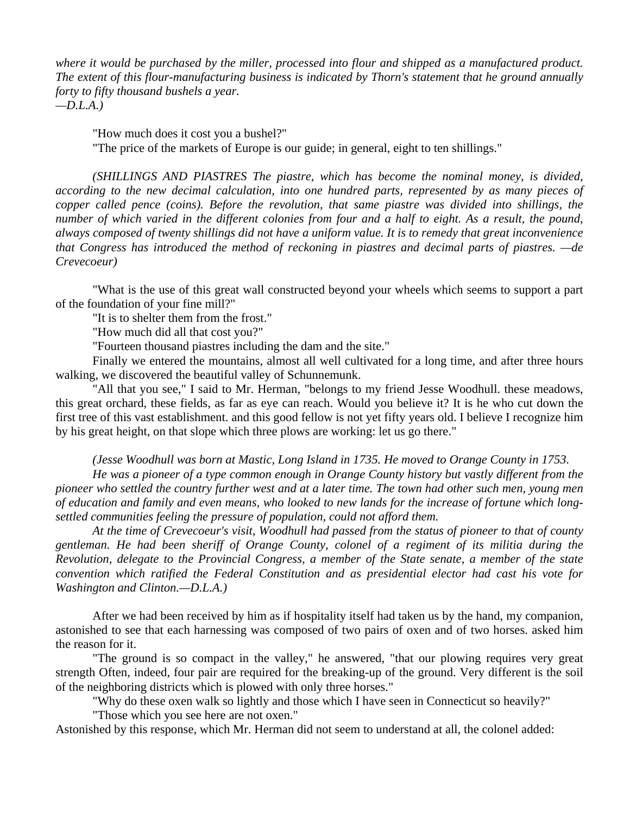*where it would be purchased by the miller, processed into flour and shipped as a manufactured product. The extent of this flour-manufacturing business is indicated by Thorn's statement that he ground annually forty to fifty thousand bushels a year. —D.L.A.)* 

 "How much does it cost you a bushel?" "The price of the markets of Europe is our guide; in general, eight to ten shillings."

*(SHILLINGS AND PIASTRES The piastre, which has become the nominal money, is divided, according to the new decimal calculation, into one hundred parts, represented by as many pieces of copper called pence (coins). Before the revolution, that same piastre was divided into shillings, the number of which varied in the different colonies from four and a half to eight. As a result, the pound, always composed of twenty shillings did not have a uniform value. It is to remedy that great inconvenience that Congress has introduced the method of reckoning in piastres and decimal parts of piastres. —de Crevecoeur)* 

 "What is the use of this great wall constructed beyond your wheels which seems to support a part of the foundation of your fine mill?"

"It is to shelter them from the frost."

"How much did all that cost you?"

"Fourteen thousand piastres including the dam and the site."

 Finally we entered the mountains, almost all well cultivated for a long time, and after three hours walking, we discovered the beautiful valley of Schunnemunk.

 "All that you see," I said to Mr. Herman, "belongs to my friend Jesse Woodhull. these meadows, this great orchard, these fields, as far as eye can reach. Would you believe it? It is he who cut down the first tree of this vast establishment. and this good fellow is not yet fifty years old. I believe I recognize him by his great height, on that slope which three plows are working: let us go there."

*(Jesse Woodhull was born at Mastic, Long Island in 1735. He moved to Orange County in 1753.* 

 *He was a pioneer of a type common enough in Orange County history but vastly different from the pioneer who settled the country further west and at a later time. The town had other such men, young men of education and family and even means, who looked to new lands for the increase of fortune which longsettled communities feeling the pressure of population, could not afford them.* 

 *At the time of Crevecoeur's visit, Woodhull had passed from the status of pioneer to that of county gentleman. He had been sheriff of Orange County, colonel of a regiment of its militia during the Revolution, delegate to the Provincial Congress, a member of the State senate, a member of the state convention which ratified the Federal Constitution and as presidential elector had cast his vote for Washington and Clinton.—D.L.A.)* 

 After we had been received by him as if hospitality itself had taken us by the hand, my companion, astonished to see that each harnessing was composed of two pairs of oxen and of two horses. asked him the reason for it.

 "The ground is so compact in the valley," he answered, "that our plowing requires very great strength Often, indeed, four pair are required for the breaking-up of the ground. Very different is the soil of the neighboring districts which is plowed with only three horses."

"Why do these oxen walk so lightly and those which I have seen in Connecticut so heavily?"

"Those which you see here are not oxen."

Astonished by this response, which Mr. Herman did not seem to understand at all, the colonel added: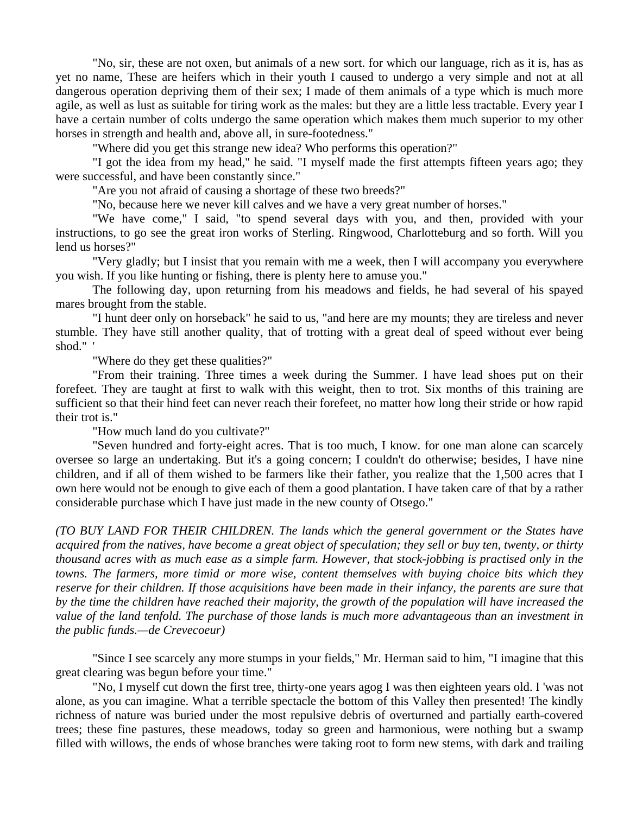"No, sir, these are not oxen, but animals of a new sort. for which our language, rich as it is, has as yet no name, These are heifers which in their youth I caused to undergo a very simple and not at all dangerous operation depriving them of their sex; I made of them animals of a type which is much more agile, as well as lust as suitable for tiring work as the males: but they are a little less tractable. Every year I have a certain number of colts undergo the same operation which makes them much superior to my other horses in strength and health and, above all, in sure-footedness."

"Where did you get this strange new idea? Who performs this operation?"

 "I got the idea from my head," he said. "I myself made the first attempts fifteen years ago; they were successful, and have been constantly since."

"Are you not afraid of causing a shortage of these two breeds?"

"No, because here we never kill calves and we have a very great number of horses."

 "We have come," I said, "to spend several days with you, and then, provided with your instructions, to go see the great iron works of Sterling. Ringwood, Charlotteburg and so forth. Will you lend us horses?"

 "Very gladly; but I insist that you remain with me a week, then I will accompany you everywhere you wish. If you like hunting or fishing, there is plenty here to amuse you."

 The following day, upon returning from his meadows and fields, he had several of his spayed mares brought from the stable.

 "I hunt deer only on horseback" he said to us, "and here are my mounts; they are tireless and never stumble. They have still another quality, that of trotting with a great deal of speed without ever being shod." '

"Where do they get these qualities?"

 "From their training. Three times a week during the Summer. I have lead shoes put on their forefeet. They are taught at first to walk with this weight, then to trot. Six months of this training are sufficient so that their hind feet can never reach their forefeet, no matter how long their stride or how rapid their trot is."

"How much land do you cultivate?"

 "Seven hundred and forty-eight acres. That is too much, I know. for one man alone can scarcely oversee so large an undertaking. But it's a going concern; I couldn't do otherwise; besides, I have nine children, and if all of them wished to be farmers like their father, you realize that the 1,500 acres that I own here would not be enough to give each of them a good plantation. I have taken care of that by a rather considerable purchase which I have just made in the new county of Otsego."

*(TO BUY LAND FOR THEIR CHILDREN. The lands which the general government or the States have acquired from the natives, have become a great object of speculation; they sell or buy ten, twenty, or thirty thousand acres with as much ease as a simple farm. However, that stock-jobbing is practised only in the towns. The farmers, more timid or more wise, content themselves with buying choice bits which they reserve for their children. If those acquisitions have been made in their infancy, the parents are sure that by the time the children have reached their majority, the growth of the population will have increased the value of the land tenfold. The purchase of those lands is much more advantageous than an investment in the public funds.—de Crevecoeur)* 

 "Since I see scarcely any more stumps in your fields," Mr. Herman said to him, "I imagine that this great clearing was begun before your time."

 "No, I myself cut down the first tree, thirty-one years agog I was then eighteen years old. I 'was not alone, as you can imagine. What a terrible spectacle the bottom of this Valley then presented! The kindly richness of nature was buried under the most repulsive debris of overturned and partially earth-covered trees; these fine pastures, these meadows, today so green and harmonious, were nothing but a swamp filled with willows, the ends of whose branches were taking root to form new stems, with dark and trailing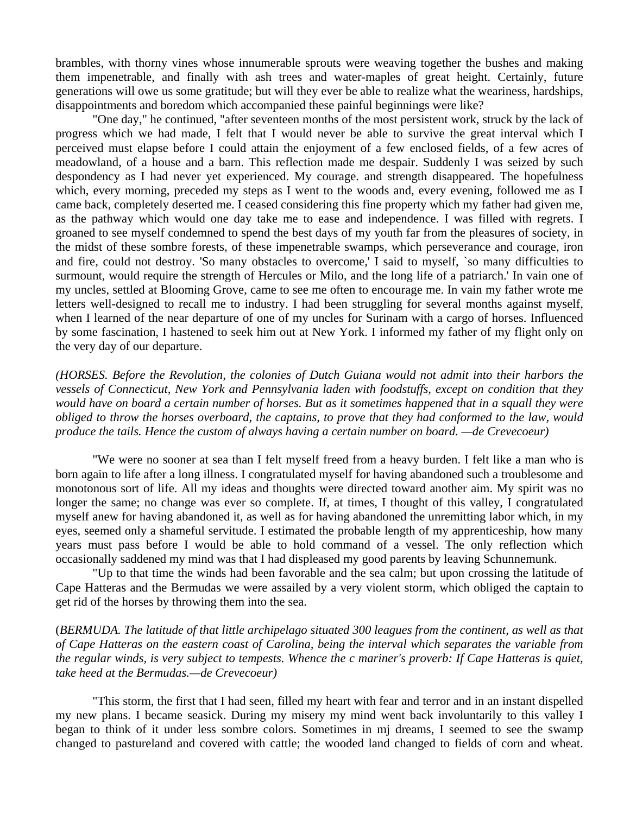brambles, with thorny vines whose innumerable sprouts were weaving together the bushes and making them impenetrable, and finally with ash trees and water-maples of great height. Certainly, future generations will owe us some gratitude; but will they ever be able to realize what the weariness, hardships, disappointments and boredom which accompanied these painful beginnings were like?

 "One day," he continued, "after seventeen months of the most persistent work, struck by the lack of progress which we had made, I felt that I would never be able to survive the great interval which I perceived must elapse before I could attain the enjoyment of a few enclosed fields, of a few acres of meadowland, of a house and a barn. This reflection made me despair. Suddenly I was seized by such despondency as I had never yet experienced. My courage. and strength disappeared. The hopefulness which, every morning, preceded my steps as I went to the woods and, every evening, followed me as I came back, completely deserted me. I ceased considering this fine property which my father had given me, as the pathway which would one day take me to ease and independence. I was filled with regrets. I groaned to see myself condemned to spend the best days of my youth far from the pleasures of society, in the midst of these sombre forests, of these impenetrable swamps, which perseverance and courage, iron and fire, could not destroy. 'So many obstacles to overcome,' I said to myself, `so many difficulties to surmount, would require the strength of Hercules or Milo, and the long life of a patriarch.' In vain one of my uncles, settled at Blooming Grove, came to see me often to encourage me. In vain my father wrote me letters well-designed to recall me to industry. I had been struggling for several months against myself, when I learned of the near departure of one of my uncles for Surinam with a cargo of horses. Influenced by some fascination, I hastened to seek him out at New York. I informed my father of my flight only on the very day of our departure.

*(HORSES. Before the Revolution, the colonies of Dutch Guiana would not admit into their harbors the vessels of Connecticut, New York and Pennsylvania laden with foodstuffs, except on condition that they would have on board a certain number of horses. But as it sometimes happened that in a squall they were obliged to throw the horses overboard, the captains, to prove that they had conformed to the law, would produce the tails. Hence the custom of always having a certain number on board. —de Crevecoeur)* 

 "We were no sooner at sea than I felt myself freed from a heavy burden. I felt like a man who is born again to life after a long illness. I congratulated myself for having abandoned such a troublesome and monotonous sort of life. All my ideas and thoughts were directed toward another aim. My spirit was no longer the same; no change was ever so complete. If, at times, I thought of this valley, I congratulated myself anew for having abandoned it, as well as for having abandoned the unremitting labor which, in my eyes, seemed only a shameful servitude. I estimated the probable length of my apprenticeship, how many years must pass before I would be able to hold command of a vessel. The only reflection which occasionally saddened my mind was that I had displeased my good parents by leaving Schunnemunk.

 "Up to that time the winds had been favorable and the sea calm; but upon crossing the latitude of Cape Hatteras and the Bermudas we were assailed by a very violent storm, which obliged the captain to get rid of the horses by throwing them into the sea.

(*BERMUDA. The latitude of that little archipelago situated 300 leagues from the continent, as well as that of Cape Hatteras on the eastern coast of Carolina, being the interval which separates the variable from the regular winds, is very subject to tempests. Whence the c mariner's proverb: If Cape Hatteras is quiet, take heed at the Bermudas.—de Crevecoeur)* 

 "This storm, the first that I had seen, filled my heart with fear and terror and in an instant dispelled my new plans. I became seasick. During my misery my mind went back involuntarily to this valley I began to think of it under less sombre colors. Sometimes in mj dreams, I seemed to see the swamp changed to pastureland and covered with cattle; the wooded land changed to fields of corn and wheat.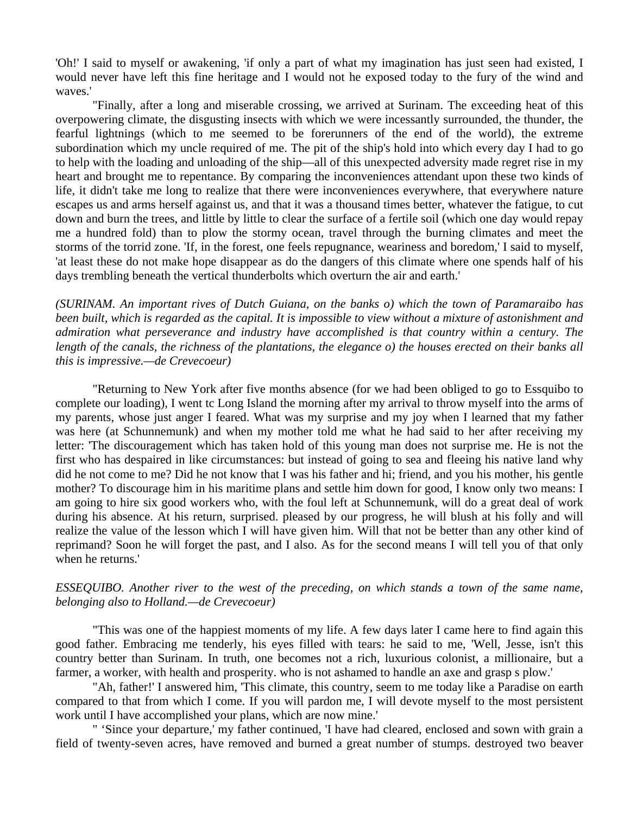'Oh!' I said to myself or awakening, 'if only a part of what my imagination has just seen had existed, I would never have left this fine heritage and I would not he exposed today to the fury of the wind and waves.'

 "Finally, after a long and miserable crossing, we arrived at Surinam. The exceeding heat of this overpowering climate, the disgusting insects with which we were incessantly surrounded, the thunder, the fearful lightnings (which to me seemed to be forerunners of the end of the world), the extreme subordination which my uncle required of me. The pit of the ship's hold into which every day I had to go to help with the loading and unloading of the ship—all of this unexpected adversity made regret rise in my heart and brought me to repentance. By comparing the inconveniences attendant upon these two kinds of life, it didn't take me long to realize that there were inconveniences everywhere, that everywhere nature escapes us and arms herself against us, and that it was a thousand times better, whatever the fatigue, to cut down and burn the trees, and little by little to clear the surface of a fertile soil (which one day would repay me a hundred fold) than to plow the stormy ocean, travel through the burning climates and meet the storms of the torrid zone. 'If, in the forest, one feels repugnance, weariness and boredom,' I said to myself, 'at least these do not make hope disappear as do the dangers of this climate where one spends half of his days trembling beneath the vertical thunderbolts which overturn the air and earth.'

*(SURINAM. An important rives of Dutch Guiana, on the banks o) which the town of Paramaraibo has been built, which is regarded as the capital. It is impossible to view without a mixture of astonishment and admiration what perseverance and industry have accomplished is that country within a century. The length of the canals, the richness of the plantations, the elegance o) the houses erected on their banks all this is impressive.—de Crevecoeur)* 

 "Returning to New York after five months absence (for we had been obliged to go to Essquibo to complete our loading), I went tc Long Island the morning after my arrival to throw myself into the arms of my parents, whose just anger I feared. What was my surprise and my joy when I learned that my father was here (at Schunnemunk) and when my mother told me what he had said to her after receiving my letter: 'The discouragement which has taken hold of this young man does not surprise me. He is not the first who has despaired in like circumstances: but instead of going to sea and fleeing his native land why did he not come to me? Did he not know that I was his father and hi; friend, and you his mother, his gentle mother? To discourage him in his maritime plans and settle him down for good, I know only two means: I am going to hire six good workers who, with the foul left at Schunnemunk, will do a great deal of work during his absence. At his return, surprised. pleased by our progress, he will blush at his folly and will realize the value of the lesson which I will have given him. Will that not be better than any other kind of reprimand? Soon he will forget the past, and I also. As for the second means I will tell you of that only when he returns.'

## *ESSEQUIBO. Another river to the west of the preceding, on which stands a town of the same name, belonging also to Holland.—de Crevecoeur)*

 "This was one of the happiest moments of my life. A few days later I came here to find again this good father. Embracing me tenderly, his eyes filled with tears: he said to me, 'Well, Jesse, isn't this country better than Surinam. In truth, one becomes not a rich, luxurious colonist, a millionaire, but a farmer, a worker, with health and prosperity. who is not ashamed to handle an axe and grasp s plow.'

 "Ah, father!' I answered him, 'This climate, this country, seem to me today like a Paradise on earth compared to that from which I come. If you will pardon me, I will devote myself to the most persistent work until I have accomplished your plans, which are now mine.'

 " 'Since your departure,' my father continued, 'I have had cleared, enclosed and sown with grain a field of twenty-seven acres, have removed and burned a great number of stumps. destroyed two beaver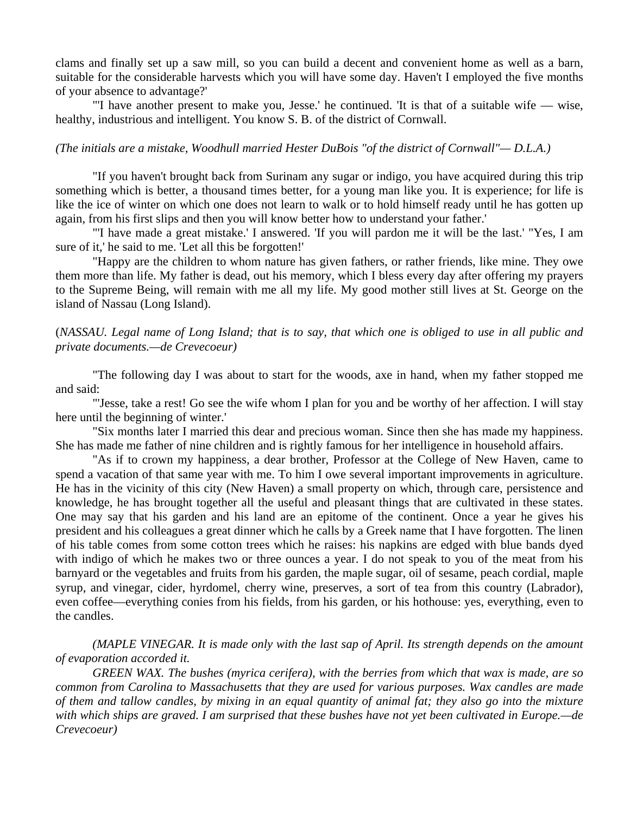clams and finally set up a saw mill, so you can build a decent and convenient home as well as a barn, suitable for the considerable harvests which you will have some day. Haven't I employed the five months of your absence to advantage?'

 "'I have another present to make you, Jesse.' he continued. 'It is that of a suitable wife — wise, healthy, industrious and intelligent. You know S. B. of the district of Cornwall.

#### *(The initials are a mistake, Woodhull married Hester DuBois "of the district of Cornwall"— D.L.A.)*

 "If you haven't brought back from Surinam any sugar or indigo, you have acquired during this trip something which is better, a thousand times better, for a young man like you. It is experience; for life is like the ice of winter on which one does not learn to walk or to hold himself ready until he has gotten up again, from his first slips and then you will know better how to understand your father.'

 "'I have made a great mistake.' I answered. 'If you will pardon me it will be the last.' "Yes, I am sure of it,' he said to me. 'Let all this be forgotten!'

 "Happy are the children to whom nature has given fathers, or rather friends, like mine. They owe them more than life. My father is dead, out his memory, which I bless every day after offering my prayers to the Supreme Being, will remain with me all my life. My good mother still lives at St. George on the island of Nassau (Long Island).

## (*NASSAU. Legal name of Long Island; that is to say, that which one is obliged to use in all public and private documents.—de Crevecoeur)*

 "The following day I was about to start for the woods, axe in hand, when my father stopped me and said:

 "'Jesse, take a rest! Go see the wife whom I plan for you and be worthy of her affection. I will stay here until the beginning of winter.'

 "Six months later I married this dear and precious woman. Since then she has made my happiness. She has made me father of nine children and is rightly famous for her intelligence in household affairs.

 "As if to crown my happiness, a dear brother, Professor at the College of New Haven, came to spend a vacation of that same year with me. To him I owe several important improvements in agriculture. He has in the vicinity of this city (New Haven) a small property on which, through care, persistence and knowledge, he has brought together all the useful and pleasant things that are cultivated in these states. One may say that his garden and his land are an epitome of the continent. Once a year he gives his president and his colleagues a great dinner which he calls by a Greek name that I have forgotten. The linen of his table comes from some cotton trees which he raises: his napkins are edged with blue bands dyed with indigo of which he makes two or three ounces a year. I do not speak to you of the meat from his barnyard or the vegetables and fruits from his garden, the maple sugar, oil of sesame, peach cordial, maple syrup, and vinegar, cider, hyrdomel, cherry wine, preserves, a sort of tea from this country (Labrador), even coffee—everything conies from his fields, from his garden, or his hothouse: yes, everything, even to the candles.

*(MAPLE VINEGAR. It is made only with the last sap of April. Its strength depends on the amount of evaporation accorded it.* 

 *GREEN WAX. The bushes (myrica cerifera), with the berries from which that wax is made, are so common from Carolina to Massachusetts that they are used for various purposes. Wax candles are made of them and tallow candles, by mixing in an equal quantity of animal fat; they also go into the mixture with which ships are graved. I am surprised that these bushes have not yet been cultivated in Europe.—de Crevecoeur)*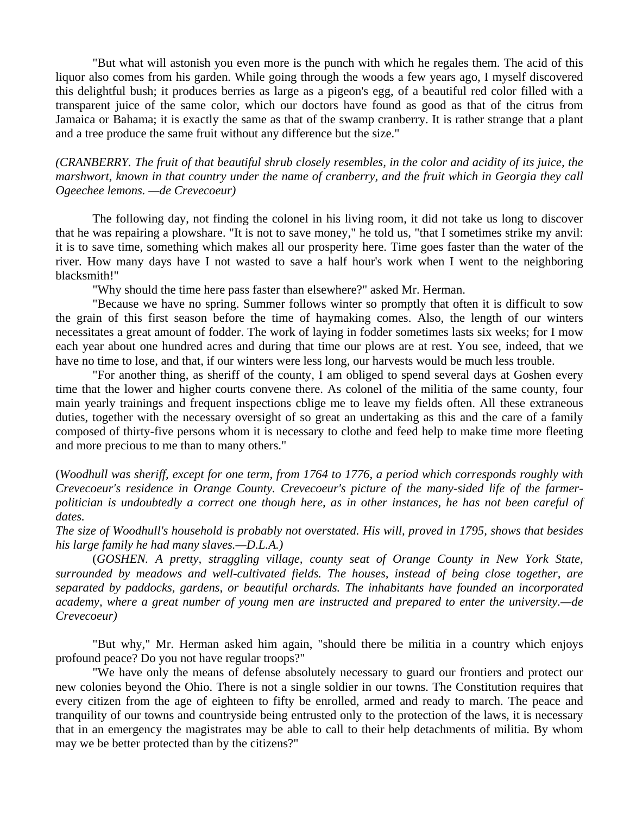"But what will astonish you even more is the punch with which he regales them. The acid of this liquor also comes from his garden. While going through the woods a few years ago, I myself discovered this delightful bush; it produces berries as large as a pigeon's egg, of a beautiful red color filled with a transparent juice of the same color, which our doctors have found as good as that of the citrus from Jamaica or Bahama; it is exactly the same as that of the swamp cranberry. It is rather strange that a plant and a tree produce the same fruit without any difference but the size."

*(CRANBERRY. The fruit of that beautiful shrub closely resembles, in the color and acidity of its juice, the marshwort, known in that country under the name of cranberry, and the fruit which in Georgia they call Ogeechee lemons. —de Crevecoeur)* 

 The following day, not finding the colonel in his living room, it did not take us long to discover that he was repairing a plowshare. "It is not to save money," he told us, "that I sometimes strike my anvil: it is to save time, something which makes all our prosperity here. Time goes faster than the water of the river. How many days have I not wasted to save a half hour's work when I went to the neighboring blacksmith!"

"Why should the time here pass faster than elsewhere?" asked Mr. Herman.

 "Because we have no spring. Summer follows winter so promptly that often it is difficult to sow the grain of this first season before the time of haymaking comes. Also, the length of our winters necessitates a great amount of fodder. The work of laying in fodder sometimes lasts six weeks; for I mow each year about one hundred acres and during that time our plows are at rest. You see, indeed, that we have no time to lose, and that, if our winters were less long, our harvests would be much less trouble.

 "For another thing, as sheriff of the county, I am obliged to spend several days at Goshen every time that the lower and higher courts convene there. As colonel of the militia of the same county, four main yearly trainings and frequent inspections cblige me to leave my fields often. All these extraneous duties, together with the necessary oversight of so great an undertaking as this and the care of a family composed of thirty-five persons whom it is necessary to clothe and feed help to make time more fleeting and more precious to me than to many others."

(*Woodhull was sheriff, except for one term, from 1764 to 1776, a period which corresponds roughly with Crevecoeur's residence in Orange County. Crevecoeur's picture of the many-sided life of the farmerpolitician is undoubtedly a correct one though here, as in other instances, he has not been careful of dates.* 

*The size of Woodhull's household is probably not overstated. His will, proved in 1795, shows that besides his large family he had many slaves.—D.L.A.)* 

 (*GOSHEN. A pretty, straggling village, county seat of Orange County in New York State, surrounded by meadows and well-cultivated fields. The houses, instead of being close together, are separated by paddocks, gardens, or beautiful orchards. The inhabitants have founded an incorporated academy, where a great number of young men are instructed and prepared to enter the university.—de Crevecoeur)* 

 "But why," Mr. Herman asked him again, "should there be militia in a country which enjoys profound peace? Do you not have regular troops?"

 "We have only the means of defense absolutely necessary to guard our frontiers and protect our new colonies beyond the Ohio. There is not a single soldier in our towns. The Constitution requires that every citizen from the age of eighteen to fifty be enrolled, armed and ready to march. The peace and tranquility of our towns and countryside being entrusted only to the protection of the laws, it is necessary that in an emergency the magistrates may be able to call to their help detachments of militia. By whom may we be better protected than by the citizens?"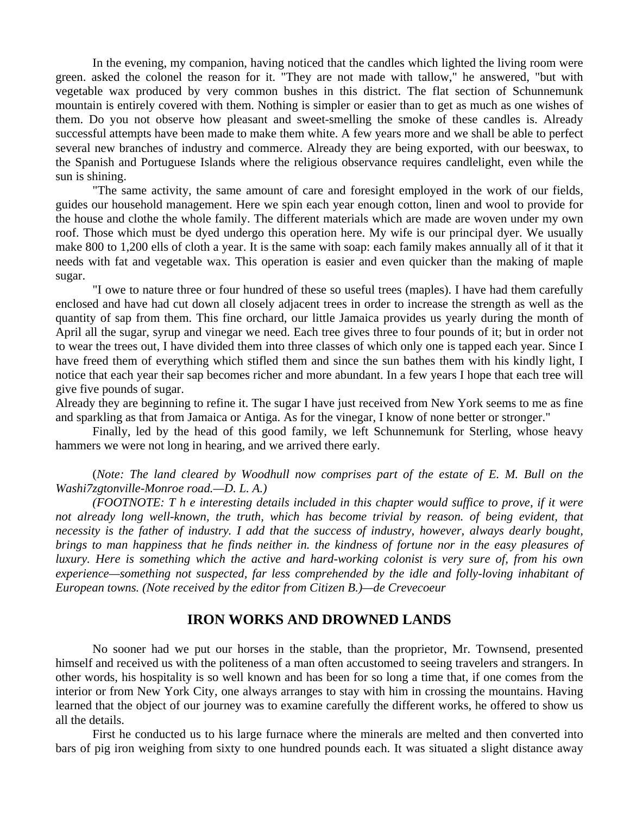In the evening, my companion, having noticed that the candles which lighted the living room were green. asked the colonel the reason for it. "They are not made with tallow," he answered, "but with vegetable wax produced by very common bushes in this district. The flat section of Schunnemunk mountain is entirely covered with them. Nothing is simpler or easier than to get as much as one wishes of them. Do you not observe how pleasant and sweet-smelling the smoke of these candles is. Already successful attempts have been made to make them white. A few years more and we shall be able to perfect several new branches of industry and commerce. Already they are being exported, with our beeswax, to the Spanish and Portuguese Islands where the religious observance requires candlelight, even while the sun is shining.

 "The same activity, the same amount of care and foresight employed in the work of our fields, guides our household management. Here we spin each year enough cotton, linen and wool to provide for the house and clothe the whole family. The different materials which are made are woven under my own roof. Those which must be dyed undergo this operation here. My wife is our principal dyer. We usually make 800 to 1,200 ells of cloth a year. It is the same with soap: each family makes annually all of it that it needs with fat and vegetable wax. This operation is easier and even quicker than the making of maple sugar.

 "I owe to nature three or four hundred of these so useful trees (maples). I have had them carefully enclosed and have had cut down all closely adjacent trees in order to increase the strength as well as the quantity of sap from them. This fine orchard, our little Jamaica provides us yearly during the month of April all the sugar, syrup and vinegar we need. Each tree gives three to four pounds of it; but in order not to wear the trees out, I have divided them into three classes of which only one is tapped each year. Since I have freed them of everything which stifled them and since the sun bathes them with his kindly light, I notice that each year their sap becomes richer and more abundant. In a few years I hope that each tree will give five pounds of sugar.

Already they are beginning to refine it. The sugar I have just received from New York seems to me as fine and sparkling as that from Jamaica or Antiga. As for the vinegar, I know of none better or stronger."

 Finally, led by the head of this good family, we left Schunnemunk for Sterling, whose heavy hammers we were not long in hearing, and we arrived there early.

 (*Note: The land cleared by Woodhull now comprises part of the estate of E. M. Bull on the Washi7zgtonville-Monroe road.—D. L. A.)* 

 *(FOOTNOTE: T h e interesting details included in this chapter would suffice to prove, if it were*  not already long well-known, the truth, which has become trivial by reason. of being evident, that *necessity is the father of industry. I add that the success of industry, however, always dearly bought, brings to man happiness that he finds neither in. the kindness of fortune nor in the easy pleasures of luxury. Here is something which the active and hard-working colonist is very sure of, from his own experience—something not suspected, far less comprehended by the idle and folly-loving inhabitant of European towns. (Note received by the editor from Citizen B.)—de Crevecoeur* 

### **IRON WORKS AND DROWNED LANDS**

 No sooner had we put our horses in the stable, than the proprietor, Mr. Townsend, presented himself and received us with the politeness of a man often accustomed to seeing travelers and strangers. In other words, his hospitality is so well known and has been for so long a time that, if one comes from the interior or from New York City, one always arranges to stay with him in crossing the mountains. Having learned that the object of our journey was to examine carefully the different works, he offered to show us all the details.

 First he conducted us to his large furnace where the minerals are melted and then converted into bars of pig iron weighing from sixty to one hundred pounds each. It was situated a slight distance away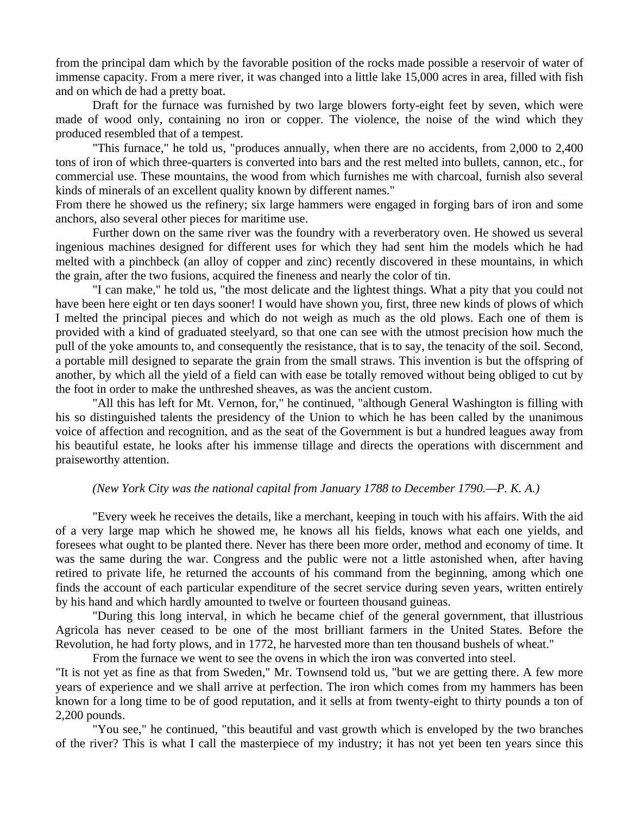from the principal dam which by the favorable position of the rocks made possible a reservoir of water of immense capacity. From a mere river, it was changed into a little lake 15,000 acres in area, filled with fish and on which de had a pretty boat.

 Draft for the furnace was furnished by two large blowers forty-eight feet by seven, which were made of wood only, containing no iron or copper. The violence, the noise of the wind which they produced resembled that of a tempest.

 "This furnace," he told us, "produces annually, when there are no accidents, from 2,000 to 2,400 tons of iron of which three-quarters is converted into bars and the rest melted into bullets, cannon, etc., for commercial use. These mountains, the wood from which furnishes me with charcoal, furnish also several kinds of minerals of an excellent quality known by different names."

From there he showed us the refinery; six large hammers were engaged in forging bars of iron and some anchors, also several other pieces for maritime use.

 Further down on the same river was the foundry with a reverberatory oven. He showed us several ingenious machines designed for different uses for which they had sent him the models which he had melted with a pinchbeck (an alloy of copper and zinc) recently discovered in these mountains, in which the grain, after the two fusions, acquired the fineness and nearly the color of tin.

 "I can make," he told us, "the most delicate and the lightest things. What a pity that you could not have been here eight or ten days sooner! I would have shown you, first, three new kinds of plows of which I melted the principal pieces and which do not weigh as much as the old plows. Each one of them is provided with a kind of graduated steelyard, so that one can see with the utmost precision how much the pull of the yoke amounts to, and consequently the resistance, that is to say, the tenacity of the soil. Second, a portable mill designed to separate the grain from the small straws. This invention is but the offspring of another, by which all the yield of a field can with ease be totally removed without being obliged to cut by the foot in order to make the unthreshed sheaves, as was the ancient custom.

 "All this has left for Mt. Vernon, for," he continued, "although General Washington is filling with his so distinguished talents the presidency of the Union to which he has been called by the unanimous voice of affection and recognition, and as the seat of the Government is but a hundred leagues away from his beautiful estate, he looks after his immense tillage and directs the operations with discernment and praiseworthy attention.

#### *(New York City was the national capital from January 1788 to December 1790.—P. K. A.)*

 "Every week he receives the details, like a merchant, keeping in touch with his affairs. With the aid of a very large map which he showed me, he knows all his fields, knows what each one yields, and foresees what ought to be planted there. Never has there been more order, method and economy of time. It was the same during the war. Congress and the public were not a little astonished when, after having retired to private life, he returned the accounts of his command from the beginning, among which one finds the account of each particular expenditure of the secret service during seven years, written entirely by his hand and which hardly amounted to twelve or fourteen thousand guineas.

 "During this long interval, in which he became chief of the general government, that illustrious Agricola has never ceased to be one of the most brilliant farmers in the United States. Before the Revolution, he had forty plows, and in 1772, he harvested more than ten thousand bushels of wheat."

From the furnace we went to see the ovens in which the iron was converted into steel.

"It is not yet as fine as that from Sweden," Mr. Townsend told us, "but we are getting there. A few more years of experience and we shall arrive at perfection. The iron which comes from my hammers has been known for a long time to be of good reputation, and it sells at from twenty-eight to thirty pounds a ton of 2,200 pounds.

 "You see," he continued, "this beautiful and vast growth which is enveloped by the two branches of the river? This is what I call the masterpiece of my industry; it has not yet been ten years since this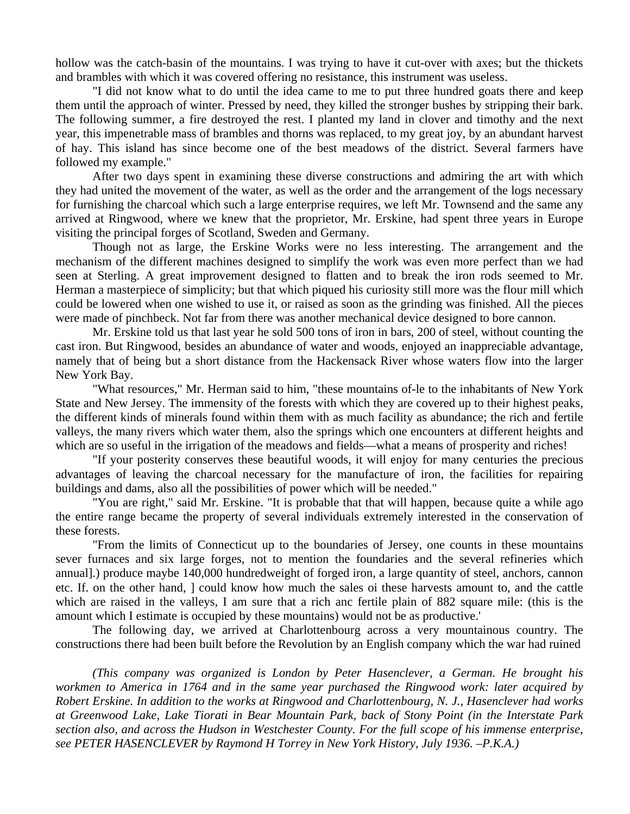hollow was the catch-basin of the mountains. I was trying to have it cut-over with axes; but the thickets and brambles with which it was covered offering no resistance, this instrument was useless.

 "I did not know what to do until the idea came to me to put three hundred goats there and keep them until the approach of winter. Pressed by need, they killed the stronger bushes by stripping their bark. The following summer, a fire destroyed the rest. I planted my land in clover and timothy and the next year, this impenetrable mass of brambles and thorns was replaced, to my great joy, by an abundant harvest of hay. This island has since become one of the best meadows of the district. Several farmers have followed my example."

 After two days spent in examining these diverse constructions and admiring the art with which they had united the movement of the water, as well as the order and the arrangement of the logs necessary for furnishing the charcoal which such a large enterprise requires, we left Mr. Townsend and the same any arrived at Ringwood, where we knew that the proprietor, Mr. Erskine, had spent three years in Europe visiting the principal forges of Scotland, Sweden and Germany.

 Though not as large, the Erskine Works were no less interesting. The arrangement and the mechanism of the different machines designed to simplify the work was even more perfect than we had seen at Sterling. A great improvement designed to flatten and to break the iron rods seemed to Mr. Herman a masterpiece of simplicity; but that which piqued his curiosity still more was the flour mill which could be lowered when one wished to use it, or raised as soon as the grinding was finished. All the pieces were made of pinchbeck. Not far from there was another mechanical device designed to bore cannon.

 Mr. Erskine told us that last year he sold 500 tons of iron in bars, 200 of steel, without counting the cast iron. But Ringwood, besides an abundance of water and woods, enjoyed an inappreciable advantage, namely that of being but a short distance from the Hackensack River whose waters flow into the larger New York Bay.

 "What resources," Mr. Herman said to him, "these mountains of-le to the inhabitants of New York State and New Jersey. The immensity of the forests with which they are covered up to their highest peaks, the different kinds of minerals found within them with as much facility as abundance; the rich and fertile valleys, the many rivers which water them, also the springs which one encounters at different heights and which are so useful in the irrigation of the meadows and fields—what a means of prosperity and riches!

 "If your posterity conserves these beautiful woods, it will enjoy for many centuries the precious advantages of leaving the charcoal necessary for the manufacture of iron, the facilities for repairing buildings and dams, also all the possibilities of power which will be needed."

 "You are right," said Mr. Erskine. "It is probable that that will happen, because quite a while ago the entire range became the property of several individuals extremely interested in the conservation of these forests.

 "From the limits of Connecticut up to the boundaries of Jersey, one counts in these mountains sever furnaces and six large forges, not to mention the foundaries and the several refineries which annual].) produce maybe 140,000 hundredweight of forged iron, a large quantity of steel, anchors, cannon etc. If. on the other hand, ] could know how much the sales oi these harvests amount to, and the cattle which are raised in the valleys, I am sure that a rich anc fertile plain of 882 square mile: (this is the amount which I estimate is occupied by these mountains) would not be as productive.'

 The following day, we arrived at Charlottenbourg across a very mountainous country. The constructions there had been built before the Revolution by an English company which the war had ruined

*(This company was organized is London by Peter Hasenclever, a German. He brought his workmen to America in 1764 and in the same year purchased the Ringwood work: later acquired by Robert Erskine. In addition to the works at Ringwood and Charlottenbourg, N. J., Hasenclever had works at Greenwood Lake, Lake Tiorati in Bear Mountain Park, back of Stony Point (in the Interstate Park section also, and across the Hudson in Westchester County. For the full scope of his immense enterprise, see PETER HASENCLEVER by Raymond H Torrey in New York History, July 1936. –P.K.A.)*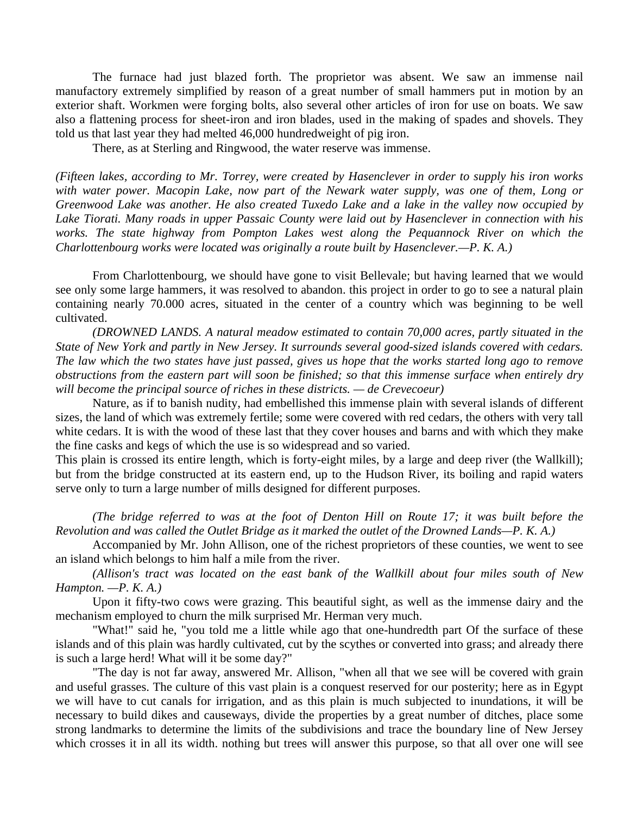The furnace had just blazed forth. The proprietor was absent. We saw an immense nail manufactory extremely simplified by reason of a great number of small hammers put in motion by an exterior shaft. Workmen were forging bolts, also several other articles of iron for use on boats. We saw also a flattening process for sheet-iron and iron blades, used in the making of spades and shovels. They told us that last year they had melted 46,000 hundredweight of pig iron.

There, as at Sterling and Ringwood, the water reserve was immense.

*(Fifteen lakes, according to Mr. Torrey, were created by Hasenclever in order to supply his iron works with water power. Macopin Lake, now part of the Newark water supply, was one of them, Long or Greenwood Lake was another. He also created Tuxedo Lake and a lake in the valley now occupied by Lake Tiorati. Many roads in upper Passaic County were laid out by Hasenclever in connection with his*  works. The state highway from Pompton Lakes west along the Pequannock River on which the *Charlottenbourg works were located was originally a route built by Hasenclever.—P. K. A.)* 

 From Charlottenbourg, we should have gone to visit Bellevale; but having learned that we would see only some large hammers, it was resolved to abandon. this project in order to go to see a natural plain containing nearly 70.000 acres, situated in the center of a country which was beginning to be well cultivated.

*(DROWNED LANDS. A natural meadow estimated to contain 70,000 acres, partly situated in the State of New York and partly in New Jersey. It surrounds several good-sized islands covered with cedars. The law which the two states have just passed, gives us hope that the works started long ago to remove obstructions from the eastern part will soon be finished; so that this immense surface when entirely dry will become the principal source of riches in these districts. — de Crevecoeur)* 

Nature, as if to banish nudity, had embellished this immense plain with several islands of different sizes, the land of which was extremely fertile; some were covered with red cedars, the others with very tall white cedars. It is with the wood of these last that they cover houses and barns and with which they make the fine casks and kegs of which the use is so widespread and so varied.

This plain is crossed its entire length, which is forty-eight miles, by a large and deep river (the Wallkill); but from the bridge constructed at its eastern end, up to the Hudson River, its boiling and rapid waters serve only to turn a large number of mills designed for different purposes.

 *(The bridge referred to was at the foot of Denton Hill on Route 17; it was built before the Revolution and was called the Outlet Bridge as it marked the outlet of the Drowned Lands—P. K. A.)* 

 Accompanied by Mr. John Allison, one of the richest proprietors of these counties, we went to see an island which belongs to him half a mile from the river.

*(Allison's tract was located on the east bank of the Wallkill about four miles south of New Hampton. —P. K. A.)*

 Upon it fifty-two cows were grazing. This beautiful sight, as well as the immense dairy and the mechanism employed to churn the milk surprised Mr. Herman very much.

 "What!" said he, "you told me a little while ago that one-hundredth part Of the surface of these islands and of this plain was hardly cultivated, cut by the scythes or converted into grass; and already there is such a large herd! What will it be some day?"

 "The day is not far away, answered Mr. Allison, "when all that we see will be covered with grain and useful grasses. The culture of this vast plain is a conquest reserved for our posterity; here as in Egypt we will have to cut canals for irrigation, and as this plain is much subjected to inundations, it will be necessary to build dikes and causeways, divide the properties by a great number of ditches, place some strong landmarks to determine the limits of the subdivisions and trace the boundary line of New Jersey which crosses it in all its width. nothing but trees will answer this purpose, so that all over one will see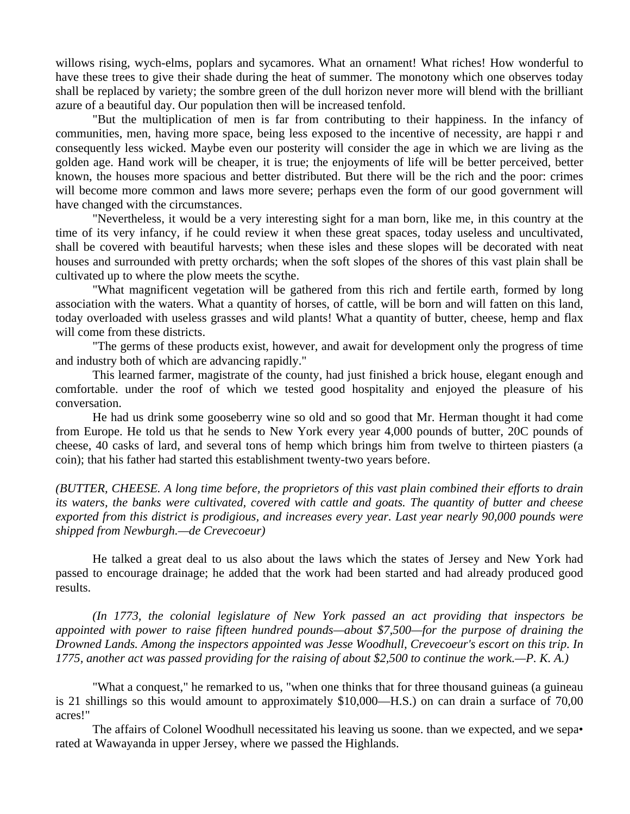willows rising, wych-elms, poplars and sycamores. What an ornament! What riches! How wonderful to have these trees to give their shade during the heat of summer. The monotony which one observes today shall be replaced by variety; the sombre green of the dull horizon never more will blend with the brilliant azure of a beautiful day. Our population then will be increased tenfold.

 "But the multiplication of men is far from contributing to their happiness. In the infancy of communities, men, having more space, being less exposed to the incentive of necessity, are happi r and consequently less wicked. Maybe even our posterity will consider the age in which we are living as the golden age. Hand work will be cheaper, it is true; the enjoyments of life will be better perceived, better known, the houses more spacious and better distributed. But there will be the rich and the poor: crimes will become more common and laws more severe; perhaps even the form of our good government will have changed with the circumstances.

 "Nevertheless, it would be a very interesting sight for a man born, like me, in this country at the time of its very infancy, if he could review it when these great spaces, today useless and uncultivated, shall be covered with beautiful harvests; when these isles and these slopes will be decorated with neat houses and surrounded with pretty orchards; when the soft slopes of the shores of this vast plain shall be cultivated up to where the plow meets the scythe.

 "What magnificent vegetation will be gathered from this rich and fertile earth, formed by long association with the waters. What a quantity of horses, of cattle, will be born and will fatten on this land, today overloaded with useless grasses and wild plants! What a quantity of butter, cheese, hemp and flax will come from these districts.

 "The germs of these products exist, however, and await for development only the progress of time and industry both of which are advancing rapidly."

 This learned farmer, magistrate of the county, had just finished a brick house, elegant enough and comfortable. under the roof of which we tested good hospitality and enjoyed the pleasure of his conversation.

 He had us drink some gooseberry wine so old and so good that Mr. Herman thought it had come from Europe. He told us that he sends to New York every year 4,000 pounds of butter, 20C pounds of cheese, 40 casks of lard, and several tons of hemp which brings him from twelve to thirteen piasters (a coin); that his father had started this establishment twenty-two years before.

*(BUTTER, CHEESE. A long time before, the proprietors of this vast plain combined their efforts to drain its waters, the banks were cultivated, covered with cattle and goats. The quantity of butter and cheese exported from this district is prodigious, and increases every year. Last year nearly 90,000 pounds were shipped from Newburgh.—de Crevecoeur)* 

 He talked a great deal to us also about the laws which the states of Jersey and New York had passed to encourage drainage; he added that the work had been started and had already produced good results.

*(In 1773, the colonial legislature of New York passed an act providing that inspectors be appointed with power to raise fifteen hundred pounds—about \$7,500—for the purpose of draining the Drowned Lands. Among the inspectors appointed was Jesse Woodhull, Crevecoeur's escort on this trip. In 1775, another act was passed providing for the raising of about \$2,500 to continue the work.—P. K. A.)* 

 "What a conquest," he remarked to us, "when one thinks that for three thousand guineas (a guineau is 21 shillings so this would amount to approximately \$10,000—H.S.) on can drain a surface of 70,00 acres!"

The affairs of Colonel Woodhull necessitated his leaving us soone. than we expected, and we sepa• rated at Wawayanda in upper Jersey, where we passed the Highlands.